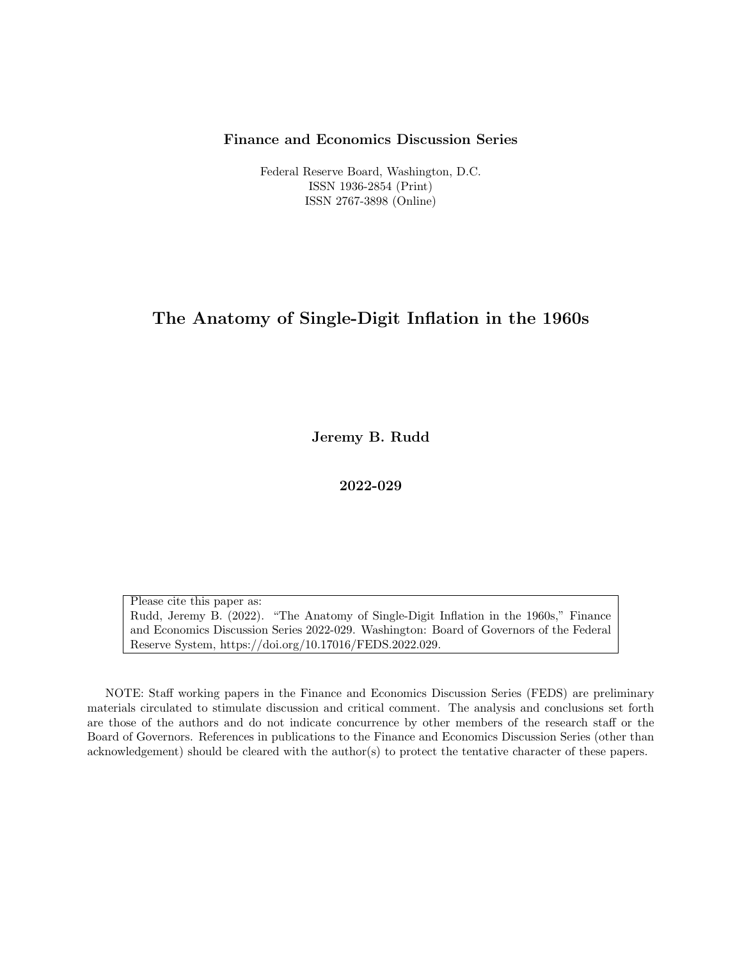#### Finance and Economics Discussion Series

Federal Reserve Board, Washington, D.C. ISSN 1936-2854 (Print) ISSN 2767-3898 (Online)

### The Anatomy of Single-Digit Inflation in the 1960s

Jeremy B. Rudd

2022-029

Please cite this paper as: Rudd, Jeremy B. (2022). "The Anatomy of Single-Digit Inflation in the 1960s," Finance and Economics Discussion Series 2022-029. Washington: Board of Governors of the Federal Reserve System, https://doi.org/10.17016/FEDS.2022.029.

NOTE: Staff working papers in the Finance and Economics Discussion Series (FEDS) are preliminary materials circulated to stimulate discussion and critical comment. The analysis and conclusions set forth are those of the authors and do not indicate concurrence by other members of the research staff or the Board of Governors. References in publications to the Finance and Economics Discussion Series (other than acknowledgement) should be cleared with the author(s) to protect the tentative character of these papers.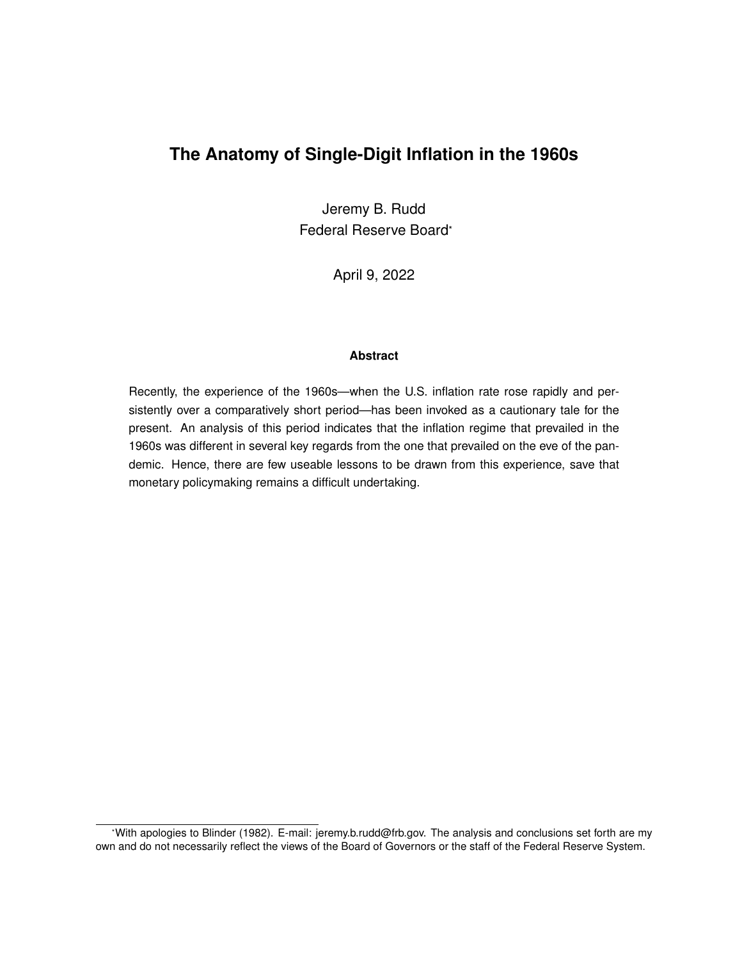## **The Anatomy of Single-Digit Inflation in the 1960s**

Jeremy B. Rudd Federal Reserve Board\*

April 9, 2022

#### **Abstract**

Recently, the experience of the 1960s—when the U.S. inflation rate rose rapidly and persistently over a comparatively short period—has been invoked as a cautionary tale for the present. An analysis of this period indicates that the inflation regime that prevailed in the 1960s was different in several key regards from the one that prevailed on the eve of the pandemic. Hence, there are few useable lessons to be drawn from this experience, save that monetary policymaking remains a difficult undertaking.

<sup>\*</sup>With apologies to Blinder (1982). E-mail: jeremy.b.rudd@frb.gov. The analysis and conclusions set forth are my own and do not necessarily reflect the views of the Board of Governors or the staff of the Federal Reserve System.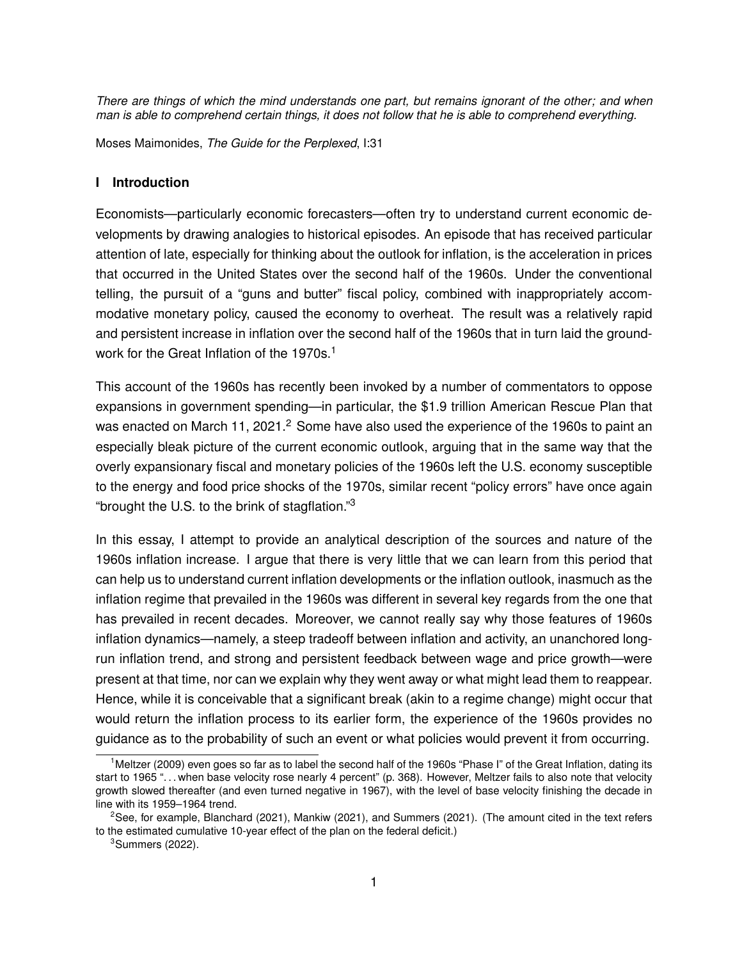*There are things of which the mind understands one part, but remains ignorant of the other; and when man is able to comprehend certain things, it does not follow that he is able to comprehend everything.*

Moses Maimonides, *The Guide for the Perplexed*, I:31

#### **I Introduction**

Economists—particularly economic forecasters—often try to understand current economic developments by drawing analogies to historical episodes. An episode that has received particular attention of late, especially for thinking about the outlook for inflation, is the acceleration in prices that occurred in the United States over the second half of the 1960s. Under the conventional telling, the pursuit of a "guns and butter" fiscal policy, combined with inappropriately accommodative monetary policy, caused the economy to overheat. The result was a relatively rapid and persistent increase in inflation over the second half of the 1960s that in turn laid the groundwork for the Great Inflation of the 1970s.<sup>1</sup>

This account of the 1960s has recently been invoked by a number of commentators to oppose expansions in government spending—in particular, the \$1.9 trillion American Rescue Plan that was enacted on March 11, 2021. $<sup>2</sup>$  Some have also used the experience of the 1960s to paint an</sup> especially bleak picture of the current economic outlook, arguing that in the same way that the overly expansionary fiscal and monetary policies of the 1960s left the U.S. economy susceptible to the energy and food price shocks of the 1970s, similar recent "policy errors" have once again "brought the U.S. to the brink of stagflation." $3$ 

In this essay, I attempt to provide an analytical description of the sources and nature of the 1960s inflation increase. I argue that there is very little that we can learn from this period that can help us to understand current inflation developments or the inflation outlook, inasmuch as the inflation regime that prevailed in the 1960s was different in several key regards from the one that has prevailed in recent decades. Moreover, we cannot really say why those features of 1960s inflation dynamics—namely, a steep tradeoff between inflation and activity, an unanchored longrun inflation trend, and strong and persistent feedback between wage and price growth—were present at that time, nor can we explain why they went away or what might lead them to reappear. Hence, while it is conceivable that a significant break (akin to a regime change) might occur that would return the inflation process to its earlier form, the experience of the 1960s provides no guidance as to the probability of such an event or what policies would prevent it from occurring.

<sup>&</sup>lt;sup>1</sup>Meltzer (2009) even goes so far as to label the second half of the 1960s "Phase I" of the Great Inflation, dating its start to 1965 ". . . when base velocity rose nearly 4 percent" (p. 368). However, Meltzer fails to also note that velocity growth slowed thereafter (and even turned negative in 1967), with the level of base velocity finishing the decade in line with its 1959–1964 trend.

<sup>&</sup>lt;sup>2</sup>See, for example, Blanchard (2021), Mankiw (2021), and Summers (2021). (The amount cited in the text refers to the estimated cumulative 10-year effect of the plan on the federal deficit.)

 $3$ Summers (2022).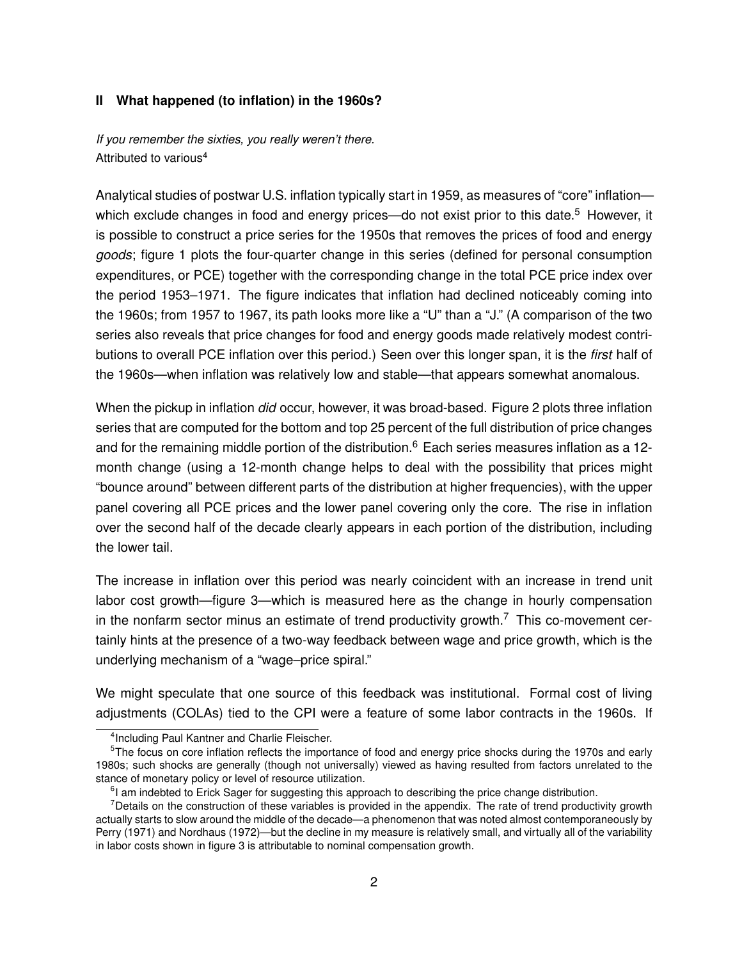#### **II What happened (to inflation) in the 1960s?**

*If you remember the sixties, you really weren't there.* Attributed to various<sup>4</sup>

Analytical studies of postwar U.S. inflation typically start in 1959, as measures of "core" inflation which exclude changes in food and energy prices—do not exist prior to this date.<sup>5</sup> However, it is possible to construct a price series for the 1950s that removes the prices of food and energy *goods*; figure 1 plots the four-quarter change in this series (defined for personal consumption expenditures, or PCE) together with the corresponding change in the total PCE price index over the period 1953–1971. The figure indicates that inflation had declined noticeably coming into the 1960s; from 1957 to 1967, its path looks more like a "U" than a "J." (A comparison of the two series also reveals that price changes for food and energy goods made relatively modest contributions to overall PCE inflation over this period.) Seen over this longer span, it is the *first* half of the 1960s—when inflation was relatively low and stable—that appears somewhat anomalous.

When the pickup in inflation *did* occur, however, it was broad-based. Figure 2 plots three inflation series that are computed for the bottom and top 25 percent of the full distribution of price changes and for the remaining middle portion of the distribution.<sup>6</sup> Each series measures inflation as a 12month change (using a 12-month change helps to deal with the possibility that prices might "bounce around" between different parts of the distribution at higher frequencies), with the upper panel covering all PCE prices and the lower panel covering only the core. The rise in inflation over the second half of the decade clearly appears in each portion of the distribution, including the lower tail.

The increase in inflation over this period was nearly coincident with an increase in trend unit labor cost growth—figure 3—which is measured here as the change in hourly compensation in the nonfarm sector minus an estimate of trend productivity growth.<sup>7</sup> This co-movement certainly hints at the presence of a two-way feedback between wage and price growth, which is the underlying mechanism of a "wage–price spiral."

We might speculate that one source of this feedback was institutional. Formal cost of living adjustments (COLAs) tied to the CPI were a feature of some labor contracts in the 1960s. If

<sup>4</sup> Including Paul Kantner and Charlie Fleischer.

<sup>&</sup>lt;sup>5</sup>The focus on core inflation reflects the importance of food and energy price shocks during the 1970s and early 1980s; such shocks are generally (though not universally) viewed as having resulted from factors unrelated to the stance of monetary policy or level of resource utilization.

<sup>&</sup>lt;sup>6</sup>I am indebted to Erick Sager for suggesting this approach to describing the price change distribution.

 $<sup>7</sup>$  Details on the construction of these variables is provided in the appendix. The rate of trend productivity growth</sup> actually starts to slow around the middle of the decade—a phenomenon that was noted almost contemporaneously by Perry (1971) and Nordhaus (1972)—but the decline in my measure is relatively small, and virtually all of the variability in labor costs shown in figure 3 is attributable to nominal compensation growth.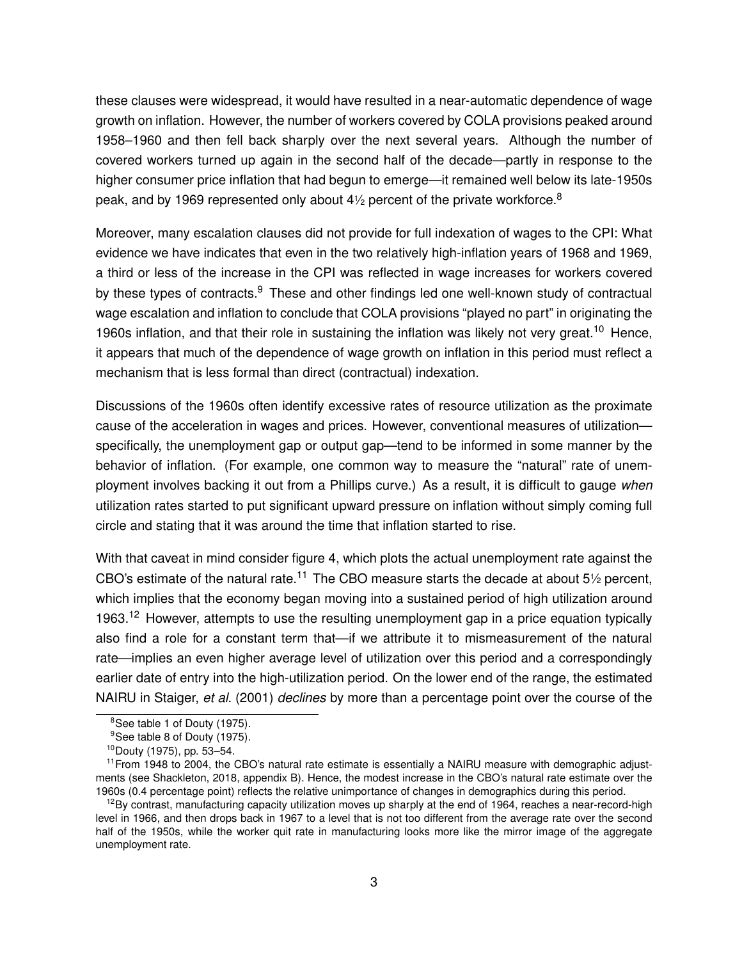these clauses were widespread, it would have resulted in a near-automatic dependence of wage growth on inflation. However, the number of workers covered by COLA provisions peaked around 1958–1960 and then fell back sharply over the next several years. Although the number of covered workers turned up again in the second half of the decade—partly in response to the higher consumer price inflation that had begun to emerge—it remained well below its late-1950s peak, and by 1969 represented only about 4 $\frac{1}{2}$  percent of the private workforce.<sup>8</sup>

Moreover, many escalation clauses did not provide for full indexation of wages to the CPI: What evidence we have indicates that even in the two relatively high-inflation years of 1968 and 1969, a third or less of the increase in the CPI was reflected in wage increases for workers covered by these types of contracts.<sup>9</sup> These and other findings led one well-known study of contractual wage escalation and inflation to conclude that COLA provisions "played no part" in originating the 1960s inflation, and that their role in sustaining the inflation was likely not very great.<sup>10</sup> Hence, it appears that much of the dependence of wage growth on inflation in this period must reflect a mechanism that is less formal than direct (contractual) indexation.

Discussions of the 1960s often identify excessive rates of resource utilization as the proximate cause of the acceleration in wages and prices. However, conventional measures of utilization specifically, the unemployment gap or output gap—tend to be informed in some manner by the behavior of inflation. (For example, one common way to measure the "natural" rate of unemployment involves backing it out from a Phillips curve.) As a result, it is difficult to gauge *when* utilization rates started to put significant upward pressure on inflation without simply coming full circle and stating that it was around the time that inflation started to rise.

With that caveat in mind consider figure 4, which plots the actual unemployment rate against the CBO's estimate of the natural rate.<sup>11</sup> The CBO measure starts the decade at about 5 $\frac{1}{2}$  percent, which implies that the economy began moving into a sustained period of high utilization around 1963.<sup>12</sup> However, attempts to use the resulting unemployment gap in a price equation typically also find a role for a constant term that—if we attribute it to mismeasurement of the natural rate—implies an even higher average level of utilization over this period and a correspondingly earlier date of entry into the high-utilization period. On the lower end of the range, the estimated NAIRU in Staiger, *et al.* (2001) *declines* by more than a percentage point over the course of the

<sup>&</sup>lt;sup>8</sup>See table 1 of Douty (1975).

<sup>&</sup>lt;sup>9</sup>See table 8 of Douty (1975).

<sup>10</sup>Douty (1975), pp. 53–54.

 $11$  From 1948 to 2004, the CBO's natural rate estimate is essentially a NAIRU measure with demographic adjustments (see Shackleton, 2018, appendix B). Hence, the modest increase in the CBO's natural rate estimate over the 1960s (0.4 percentage point) reflects the relative unimportance of changes in demographics during this period.

 $12$ By contrast, manufacturing capacity utilization moves up sharply at the end of 1964, reaches a near-record-high level in 1966, and then drops back in 1967 to a level that is not too different from the average rate over the second half of the 1950s, while the worker quit rate in manufacturing looks more like the mirror image of the aggregate unemployment rate.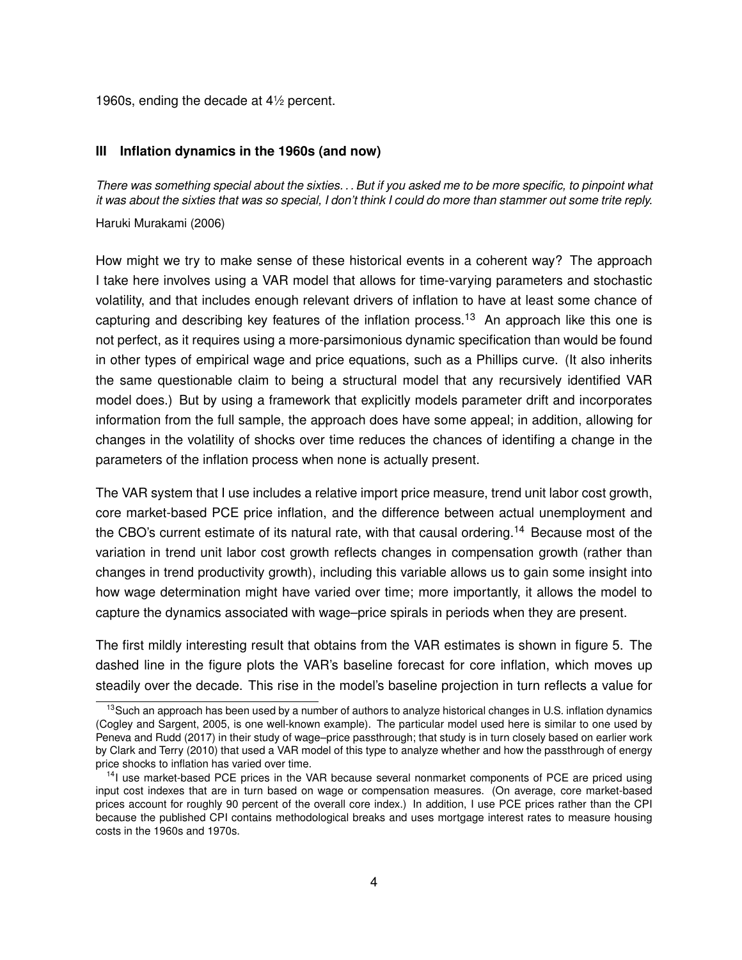1960s, ending the decade at 4<sup>1</sup> ⁄<sup>2</sup> percent.

#### **III Inflation dynamics in the 1960s (and now)**

*There was something special about the sixties. . . But if you asked me to be more specific, to pinpoint what it was about the sixties that was so special, I don't think I could do more than stammer out some trite reply.*

Haruki Murakami (2006)

How might we try to make sense of these historical events in a coherent way? The approach I take here involves using a VAR model that allows for time-varying parameters and stochastic volatility, and that includes enough relevant drivers of inflation to have at least some chance of capturing and describing key features of the inflation process.<sup>13</sup> An approach like this one is not perfect, as it requires using a more-parsimonious dynamic specification than would be found in other types of empirical wage and price equations, such as a Phillips curve. (It also inherits the same questionable claim to being a structural model that any recursively identified VAR model does.) But by using a framework that explicitly models parameter drift and incorporates information from the full sample, the approach does have some appeal; in addition, allowing for changes in the volatility of shocks over time reduces the chances of identifing a change in the parameters of the inflation process when none is actually present.

The VAR system that I use includes a relative import price measure, trend unit labor cost growth, core market-based PCE price inflation, and the difference between actual unemployment and the CBO's current estimate of its natural rate, with that causal ordering.<sup>14</sup> Because most of the variation in trend unit labor cost growth reflects changes in compensation growth (rather than changes in trend productivity growth), including this variable allows us to gain some insight into how wage determination might have varied over time; more importantly, it allows the model to capture the dynamics associated with wage–price spirals in periods when they are present.

The first mildly interesting result that obtains from the VAR estimates is shown in figure 5. The dashed line in the figure plots the VAR's baseline forecast for core inflation, which moves up steadily over the decade. This rise in the model's baseline projection in turn reflects a value for

<sup>&</sup>lt;sup>13</sup> Such an approach has been used by a number of authors to analyze historical changes in U.S. inflation dynamics (Cogley and Sargent, 2005, is one well-known example). The particular model used here is similar to one used by Peneva and Rudd (2017) in their study of wage–price passthrough; that study is in turn closely based on earlier work by Clark and Terry (2010) that used a VAR model of this type to analyze whether and how the passthrough of energy price shocks to inflation has varied over time.

<sup>&</sup>lt;sup>14</sup>I use market-based PCE prices in the VAR because several nonmarket components of PCE are priced using input cost indexes that are in turn based on wage or compensation measures. (On average, core market-based prices account for roughly 90 percent of the overall core index.) In addition, I use PCE prices rather than the CPI because the published CPI contains methodological breaks and uses mortgage interest rates to measure housing costs in the 1960s and 1970s.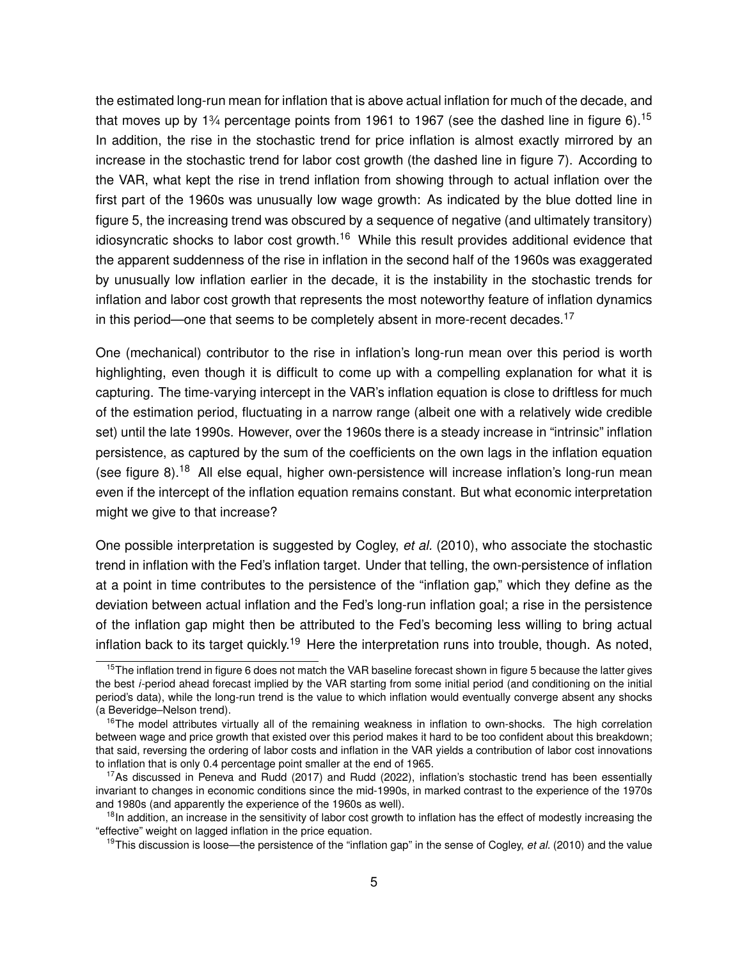the estimated long-run mean for inflation that is above actual inflation for much of the decade, and that moves up by 1<sup>3</sup>/<sub>4</sub> percentage points from 1961 to 1967 (see the dashed line in figure 6).<sup>15</sup> In addition, the rise in the stochastic trend for price inflation is almost exactly mirrored by an increase in the stochastic trend for labor cost growth (the dashed line in figure 7). According to the VAR, what kept the rise in trend inflation from showing through to actual inflation over the first part of the 1960s was unusually low wage growth: As indicated by the blue dotted line in figure 5, the increasing trend was obscured by a sequence of negative (and ultimately transitory) idiosyncratic shocks to labor cost growth.<sup>16</sup> While this result provides additional evidence that the apparent suddenness of the rise in inflation in the second half of the 1960s was exaggerated by unusually low inflation earlier in the decade, it is the instability in the stochastic trends for inflation and labor cost growth that represents the most noteworthy feature of inflation dynamics in this period—one that seems to be completely absent in more-recent decades.<sup>17</sup>

One (mechanical) contributor to the rise in inflation's long-run mean over this period is worth highlighting, even though it is difficult to come up with a compelling explanation for what it is capturing. The time-varying intercept in the VAR's inflation equation is close to driftless for much of the estimation period, fluctuating in a narrow range (albeit one with a relatively wide credible set) until the late 1990s. However, over the 1960s there is a steady increase in "intrinsic" inflation persistence, as captured by the sum of the coefficients on the own lags in the inflation equation (see figure 8).<sup>18</sup> All else equal, higher own-persistence will increase inflation's long-run mean even if the intercept of the inflation equation remains constant. But what economic interpretation might we give to that increase?

One possible interpretation is suggested by Cogley, *et al.* (2010), who associate the stochastic trend in inflation with the Fed's inflation target. Under that telling, the own-persistence of inflation at a point in time contributes to the persistence of the "inflation gap," which they define as the deviation between actual inflation and the Fed's long-run inflation goal; a rise in the persistence of the inflation gap might then be attributed to the Fed's becoming less willing to bring actual inflation back to its target quickly.<sup>19</sup> Here the interpretation runs into trouble, though. As noted,

 $15$ The inflation trend in figure 6 does not match the VAR baseline forecast shown in figure 5 because the latter gives the best *i*-period ahead forecast implied by the VAR starting from some initial period (and conditioning on the initial period's data), while the long-run trend is the value to which inflation would eventually converge absent any shocks (a Beveridge–Nelson trend).

 $16$ The model attributes virtually all of the remaining weakness in inflation to own-shocks. The high correlation between wage and price growth that existed over this period makes it hard to be too confident about this breakdown; that said, reversing the ordering of labor costs and inflation in the VAR yields a contribution of labor cost innovations to inflation that is only 0.4 percentage point smaller at the end of 1965.

<sup>&</sup>lt;sup>17</sup>As discussed in Peneva and Rudd (2017) and Rudd (2022), inflation's stochastic trend has been essentially invariant to changes in economic conditions since the mid-1990s, in marked contrast to the experience of the 1970s and 1980s (and apparently the experience of the 1960s as well).

<sup>&</sup>lt;sup>18</sup>In addition, an increase in the sensitivity of labor cost growth to inflation has the effect of modestly increasing the "effective" weight on lagged inflation in the price equation.

<sup>19</sup>This discussion is loose—the persistence of the "inflation gap" in the sense of Cogley, *et al.* (2010) and the value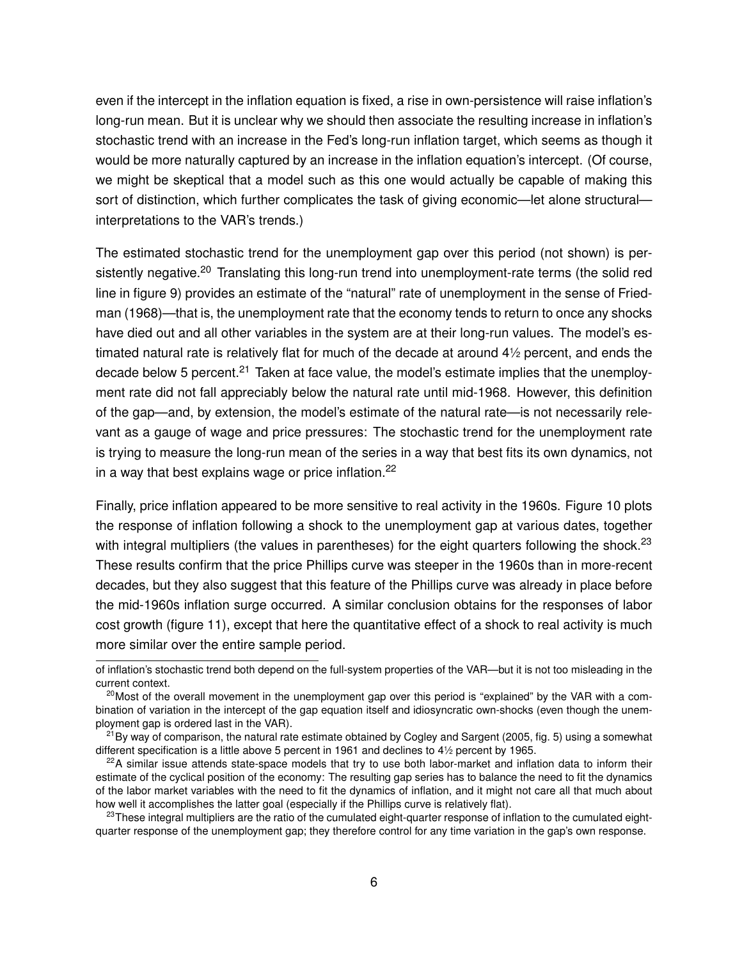even if the intercept in the inflation equation is fixed, a rise in own-persistence will raise inflation's long-run mean. But it is unclear why we should then associate the resulting increase in inflation's stochastic trend with an increase in the Fed's long-run inflation target, which seems as though it would be more naturally captured by an increase in the inflation equation's intercept. (Of course, we might be skeptical that a model such as this one would actually be capable of making this sort of distinction, which further complicates the task of giving economic—let alone structural interpretations to the VAR's trends.)

The estimated stochastic trend for the unemployment gap over this period (not shown) is persistently negative.<sup>20</sup> Translating this long-run trend into unemployment-rate terms (the solid red line in figure 9) provides an estimate of the "natural" rate of unemployment in the sense of Friedman (1968)—that is, the unemployment rate that the economy tends to return to once any shocks have died out and all other variables in the system are at their long-run values. The model's estimated natural rate is relatively flat for much of the decade at around 4<sup>1</sup> ⁄<sup>2</sup> percent, and ends the decade below 5 percent.<sup>21</sup> Taken at face value, the model's estimate implies that the unemployment rate did not fall appreciably below the natural rate until mid-1968. However, this definition of the gap—and, by extension, the model's estimate of the natural rate—is not necessarily relevant as a gauge of wage and price pressures: The stochastic trend for the unemployment rate is trying to measure the long-run mean of the series in a way that best fits its own dynamics, not in a way that best explains wage or price inflation. $22$ 

Finally, price inflation appeared to be more sensitive to real activity in the 1960s. Figure 10 plots the response of inflation following a shock to the unemployment gap at various dates, together with integral multipliers (the values in parentheses) for the eight quarters following the shock.<sup>23</sup> These results confirm that the price Phillips curve was steeper in the 1960s than in more-recent decades, but they also suggest that this feature of the Phillips curve was already in place before the mid-1960s inflation surge occurred. A similar conclusion obtains for the responses of labor cost growth (figure 11), except that here the quantitative effect of a shock to real activity is much more similar over the entire sample period.

of inflation's stochastic trend both depend on the full-system properties of the VAR—but it is not too misleading in the current context.

 $20$ Most of the overall movement in the unemployment gap over this period is "explained" by the VAR with a combination of variation in the intercept of the gap equation itself and idiosyncratic own-shocks (even though the unemployment gap is ordered last in the VAR).

 $^{21}$ By way of comparison, the natural rate estimate obtained by Cogley and Sargent (2005, fig. 5) using a somewhat different specification is a little above 5 percent in 1961 and declines to 4<sup>1</sup> ⁄<sup>2</sup> percent by 1965.

 $22A$  similar issue attends state-space models that try to use both labor-market and inflation data to inform their estimate of the cyclical position of the economy: The resulting gap series has to balance the need to fit the dynamics of the labor market variables with the need to fit the dynamics of inflation, and it might not care all that much about how well it accomplishes the latter goal (especially if the Phillips curve is relatively flat).

 $23$ These integral multipliers are the ratio of the cumulated eight-quarter response of inflation to the cumulated eightquarter response of the unemployment gap; they therefore control for any time variation in the gap's own response.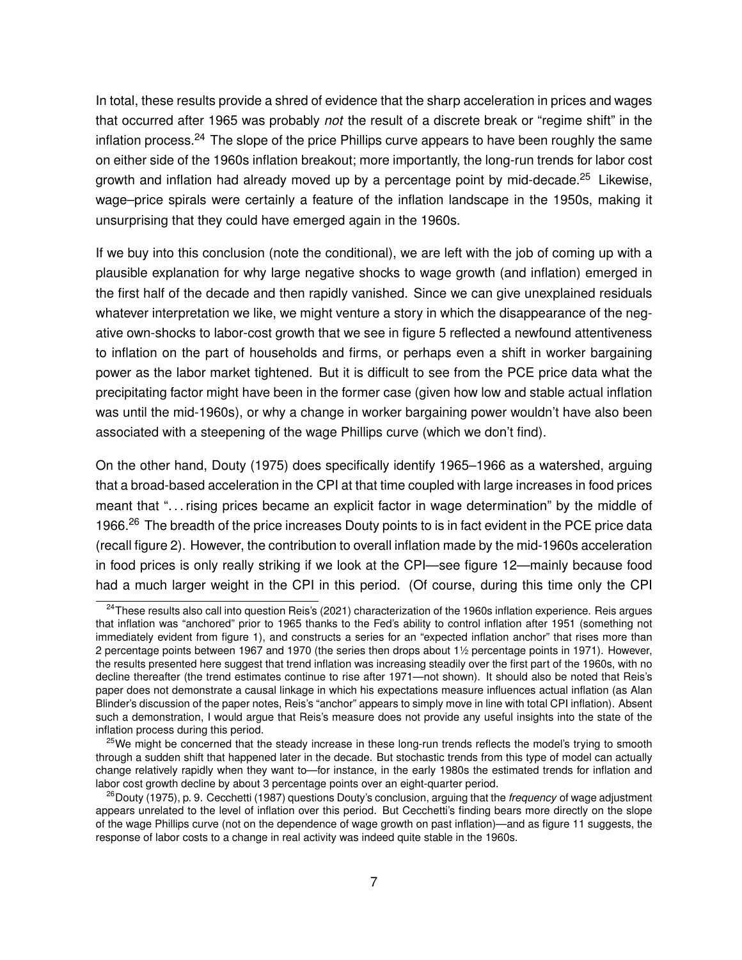In total, these results provide a shred of evidence that the sharp acceleration in prices and wages that occurred after 1965 was probably *not* the result of a discrete break or "regime shift" in the inflation process.<sup>24</sup> The slope of the price Phillips curve appears to have been roughly the same on either side of the 1960s inflation breakout; more importantly, the long-run trends for labor cost growth and inflation had already moved up by a percentage point by mid-decade.<sup>25</sup> Likewise, wage–price spirals were certainly a feature of the inflation landscape in the 1950s, making it unsurprising that they could have emerged again in the 1960s.

If we buy into this conclusion (note the conditional), we are left with the job of coming up with a plausible explanation for why large negative shocks to wage growth (and inflation) emerged in the first half of the decade and then rapidly vanished. Since we can give unexplained residuals whatever interpretation we like, we might venture a story in which the disappearance of the negative own-shocks to labor-cost growth that we see in figure 5 reflected a newfound attentiveness to inflation on the part of households and firms, or perhaps even a shift in worker bargaining power as the labor market tightened. But it is difficult to see from the PCE price data what the precipitating factor might have been in the former case (given how low and stable actual inflation was until the mid-1960s), or why a change in worker bargaining power wouldn't have also been associated with a steepening of the wage Phillips curve (which we don't find).

On the other hand, Douty (1975) does specifically identify 1965–1966 as a watershed, arguing that a broad-based acceleration in the CPI at that time coupled with large increases in food prices meant that ". . . rising prices became an explicit factor in wage determination" by the middle of 1966.<sup>26</sup> The breadth of the price increases Douty points to is in fact evident in the PCE price data (recall figure 2). However, the contribution to overall inflation made by the mid-1960s acceleration in food prices is only really striking if we look at the CPI—see figure 12—mainly because food had a much larger weight in the CPI in this period. (Of course, during this time only the CPI

 $24$ These results also call into question Reis's (2021) characterization of the 1960s inflation experience. Reis argues that inflation was "anchored" prior to 1965 thanks to the Fed's ability to control inflation after 1951 (something not immediately evident from figure 1), and constructs a series for an "expected inflation anchor" that rises more than 2 percentage points between 1967 and 1970 (the series then drops about 1<sup>1</sup> ⁄<sup>2</sup> percentage points in 1971). However, the results presented here suggest that trend inflation was increasing steadily over the first part of the 1960s, with no decline thereafter (the trend estimates continue to rise after 1971—not shown). It should also be noted that Reis's paper does not demonstrate a causal linkage in which his expectations measure influences actual inflation (as Alan Blinder's discussion of the paper notes, Reis's "anchor" appears to simply move in line with total CPI inflation). Absent such a demonstration, I would argue that Reis's measure does not provide any useful insights into the state of the inflation process during this period.

<sup>&</sup>lt;sup>25</sup>We might be concerned that the steady increase in these long-run trends reflects the model's trying to smooth through a sudden shift that happened later in the decade. But stochastic trends from this type of model can actually change relatively rapidly when they want to—for instance, in the early 1980s the estimated trends for inflation and labor cost growth decline by about 3 percentage points over an eight-quarter period.

<sup>&</sup>lt;sup>26</sup>Douty (1975), p. 9. Cecchetti (1987) questions Douty's conclusion, arguing that the *frequency* of wage adjustment appears unrelated to the level of inflation over this period. But Cecchetti's finding bears more directly on the slope of the wage Phillips curve (not on the dependence of wage growth on past inflation)—and as figure 11 suggests, the response of labor costs to a change in real activity was indeed quite stable in the 1960s.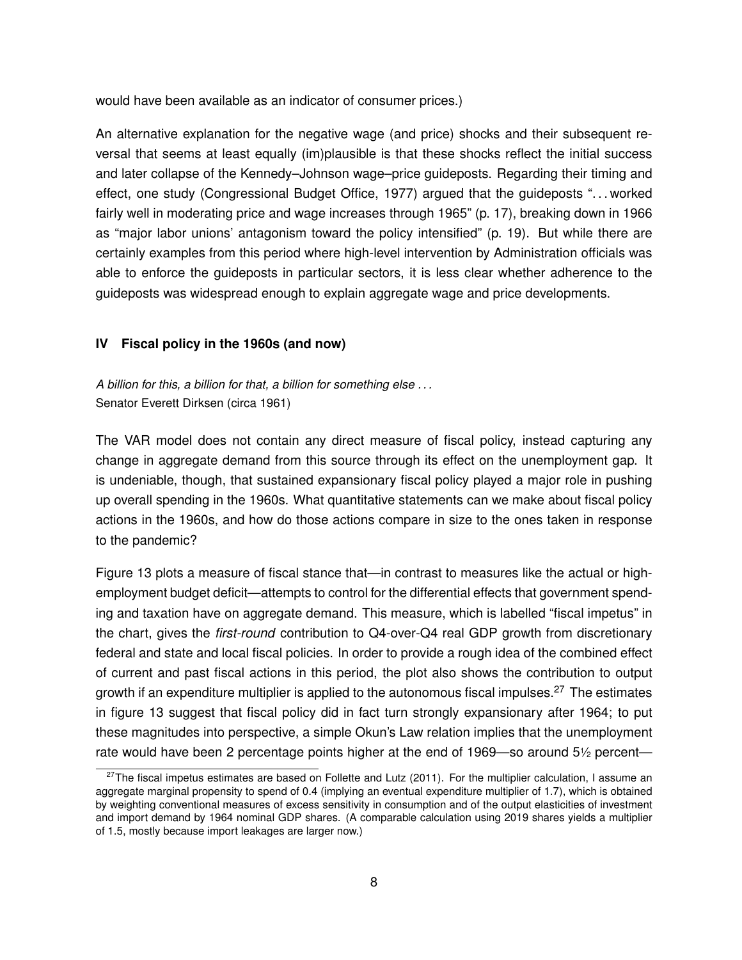would have been available as an indicator of consumer prices.)

An alternative explanation for the negative wage (and price) shocks and their subsequent reversal that seems at least equally (im)plausible is that these shocks reflect the initial success and later collapse of the Kennedy–Johnson wage–price guideposts. Regarding their timing and effect, one study (Congressional Budget Office, 1977) argued that the guideposts ". . . worked fairly well in moderating price and wage increases through 1965" (p. 17), breaking down in 1966 as "major labor unions' antagonism toward the policy intensified" (p. 19). But while there are certainly examples from this period where high-level intervention by Administration officials was able to enforce the guideposts in particular sectors, it is less clear whether adherence to the guideposts was widespread enough to explain aggregate wage and price developments.

#### **IV Fiscal policy in the 1960s (and now)**

*A billion for this, a billion for that, a billion for something else . . .* Senator Everett Dirksen (circa 1961)

The VAR model does not contain any direct measure of fiscal policy, instead capturing any change in aggregate demand from this source through its effect on the unemployment gap. It is undeniable, though, that sustained expansionary fiscal policy played a major role in pushing up overall spending in the 1960s. What quantitative statements can we make about fiscal policy actions in the 1960s, and how do those actions compare in size to the ones taken in response to the pandemic?

Figure 13 plots a measure of fiscal stance that—in contrast to measures like the actual or highemployment budget deficit—attempts to control for the differential effects that government spending and taxation have on aggregate demand. This measure, which is labelled "fiscal impetus" in the chart, gives the *first-round* contribution to Q4-over-Q4 real GDP growth from discretionary federal and state and local fiscal policies. In order to provide a rough idea of the combined effect of current and past fiscal actions in this period, the plot also shows the contribution to output growth if an expenditure multiplier is applied to the autonomous fiscal impulses.<sup>27</sup> The estimates in figure 13 suggest that fiscal policy did in fact turn strongly expansionary after 1964; to put these magnitudes into perspective, a simple Okun's Law relation implies that the unemployment rate would have been 2 percentage points higher at the end of 1969—so around 51⁄2 percent—

 $27$ The fiscal impetus estimates are based on Follette and Lutz (2011). For the multiplier calculation, I assume an aggregate marginal propensity to spend of 0.4 (implying an eventual expenditure multiplier of 1.7), which is obtained by weighting conventional measures of excess sensitivity in consumption and of the output elasticities of investment and import demand by 1964 nominal GDP shares. (A comparable calculation using 2019 shares yields a multiplier of 1.5, mostly because import leakages are larger now.)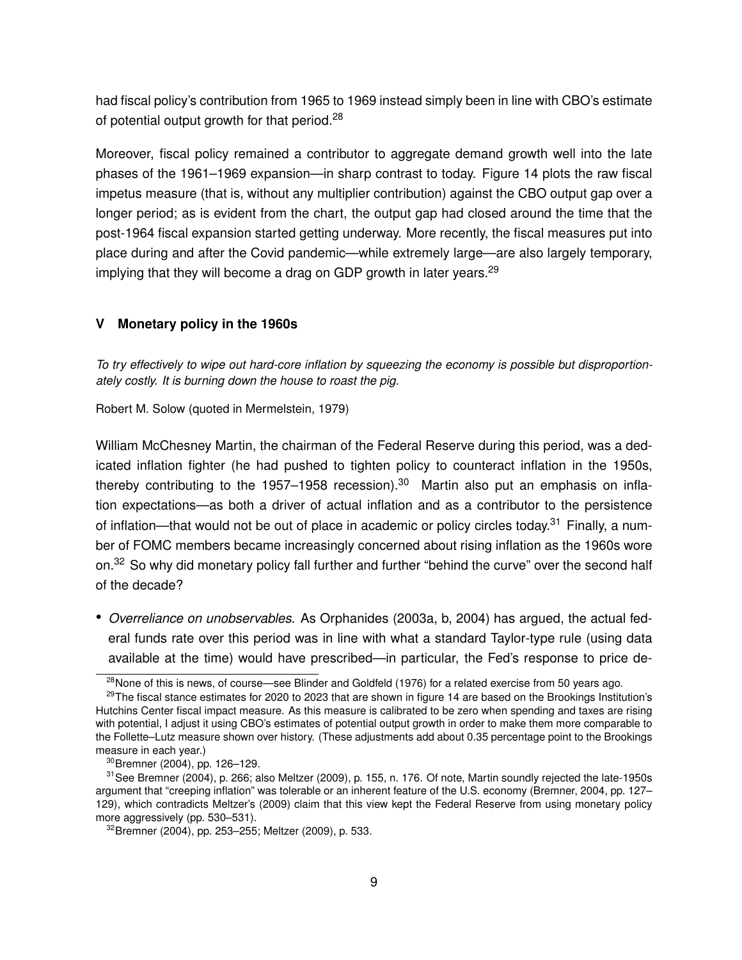had fiscal policy's contribution from 1965 to 1969 instead simply been in line with CBO's estimate of potential output growth for that period.<sup>28</sup>

Moreover, fiscal policy remained a contributor to aggregate demand growth well into the late phases of the 1961–1969 expansion—in sharp contrast to today. Figure 14 plots the raw fiscal impetus measure (that is, without any multiplier contribution) against the CBO output gap over a longer period; as is evident from the chart, the output gap had closed around the time that the post-1964 fiscal expansion started getting underway. More recently, the fiscal measures put into place during and after the Covid pandemic—while extremely large—are also largely temporary, implying that they will become a drag on GDP growth in later years.<sup>29</sup>

### **V Monetary policy in the 1960s**

*To try effectively to wipe out hard-core inflation by squeezing the economy is possible but disproportionately costly. It is burning down the house to roast the pig.*

Robert M. Solow (quoted in Mermelstein, 1979)

William McChesney Martin, the chairman of the Federal Reserve during this period, was a dedicated inflation fighter (he had pushed to tighten policy to counteract inflation in the 1950s, thereby contributing to the 1957–1958 recession).<sup>30</sup> Martin also put an emphasis on inflation expectations—as both a driver of actual inflation and as a contributor to the persistence of inflation—that would not be out of place in academic or policy circles today.<sup>31</sup> Finally, a number of FOMC members became increasingly concerned about rising inflation as the 1960s wore on.<sup>32</sup> So why did monetary policy fall further and further "behind the curve" over the second half of the decade?

• *Overreliance on unobservables.* As Orphanides (2003a, b, 2004) has argued, the actual federal funds rate over this period was in line with what a standard Taylor-type rule (using data available at the time) would have prescribed—in particular, the Fed's response to price de-

<sup>&</sup>lt;sup>28</sup>None of this is news, of course—see Blinder and Goldfeld (1976) for a related exercise from 50 years ago.

<sup>&</sup>lt;sup>29</sup>The fiscal stance estimates for 2020 to 2023 that are shown in figure 14 are based on the Brookings Institution's Hutchins Center fiscal impact measure. As this measure is calibrated to be zero when spending and taxes are rising with potential, I adjust it using CBO's estimates of potential output growth in order to make them more comparable to the Follette–Lutz measure shown over history. (These adjustments add about 0.35 percentage point to the Brookings measure in each year.)

<sup>30</sup>Bremner (2004), pp. 126–129.

<sup>&</sup>lt;sup>31</sup> See Bremner (2004), p. 266; also Meltzer (2009), p. 155, n. 176. Of note, Martin soundly rejected the late-1950s argument that "creeping inflation" was tolerable or an inherent feature of the U.S. economy (Bremner, 2004, pp. 127– 129), which contradicts Meltzer's (2009) claim that this view kept the Federal Reserve from using monetary policy more aggressively (pp. 530–531).

<sup>32</sup>Bremner (2004), pp. 253–255; Meltzer (2009), p. 533.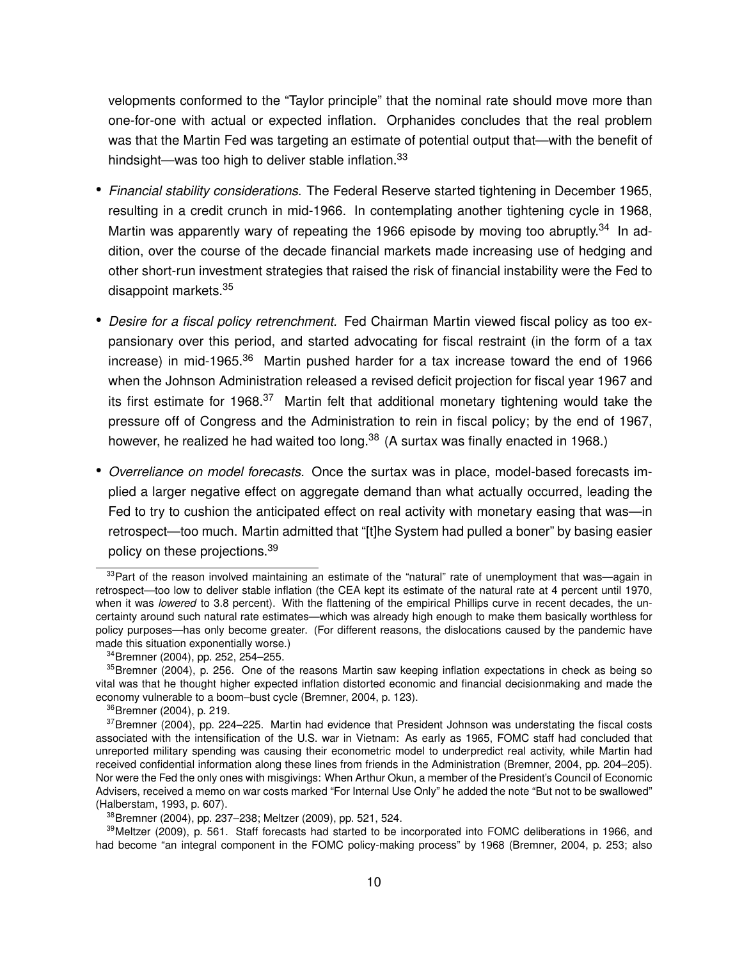velopments conformed to the "Taylor principle" that the nominal rate should move more than one-for-one with actual or expected inflation. Orphanides concludes that the real problem was that the Martin Fed was targeting an estimate of potential output that—with the benefit of hindsight—was too high to deliver stable inflation.<sup>33</sup>

- *Financial stability considerations.* The Federal Reserve started tightening in December 1965, resulting in a credit crunch in mid-1966. In contemplating another tightening cycle in 1968, Martin was apparently wary of repeating the 1966 episode by moving too abruptly.<sup>34</sup> In addition, over the course of the decade financial markets made increasing use of hedging and other short-run investment strategies that raised the risk of financial instability were the Fed to disappoint markets.<sup>35</sup>
- *Desire for a fiscal policy retrenchment.* Fed Chairman Martin viewed fiscal policy as too expansionary over this period, and started advocating for fiscal restraint (in the form of a tax increase) in mid-1965.<sup>36</sup> Martin pushed harder for a tax increase toward the end of 1966 when the Johnson Administration released a revised deficit projection for fiscal year 1967 and its first estimate for 1968.<sup>37</sup> Martin felt that additional monetary tightening would take the pressure off of Congress and the Administration to rein in fiscal policy; by the end of 1967, however, he realized he had waited too long. $38$  (A surtax was finally enacted in 1968.)
- *Overreliance on model forecasts.* Once the surtax was in place, model-based forecasts implied a larger negative effect on aggregate demand than what actually occurred, leading the Fed to try to cushion the anticipated effect on real activity with monetary easing that was—in retrospect—too much. Martin admitted that "[t]he System had pulled a boner" by basing easier policy on these projections.<sup>39</sup>

 $33$ Part of the reason involved maintaining an estimate of the "natural" rate of unemployment that was—again in retrospect—too low to deliver stable inflation (the CEA kept its estimate of the natural rate at 4 percent until 1970, when it was *lowered* to 3.8 percent). With the flattening of the empirical Phillips curve in recent decades, the uncertainty around such natural rate estimates—which was already high enough to make them basically worthless for policy purposes—has only become greater. (For different reasons, the dislocations caused by the pandemic have made this situation exponentially worse.)

<sup>34</sup>Bremner (2004), pp. 252, 254–255.

<sup>&</sup>lt;sup>35</sup>Bremner (2004), p. 256. One of the reasons Martin saw keeping inflation expectations in check as being so vital was that he thought higher expected inflation distorted economic and financial decisionmaking and made the economy vulnerable to a boom–bust cycle (Bremner, 2004, p. 123).

<sup>36</sup>Bremner (2004), p. 219.

<sup>&</sup>lt;sup>37</sup>Bremner (2004), pp. 224–225. Martin had evidence that President Johnson was understating the fiscal costs associated with the intensification of the U.S. war in Vietnam: As early as 1965, FOMC staff had concluded that unreported military spending was causing their econometric model to underpredict real activity, while Martin had received confidential information along these lines from friends in the Administration (Bremner, 2004, pp. 204–205). Nor were the Fed the only ones with misgivings: When Arthur Okun, a member of the President's Council of Economic Advisers, received a memo on war costs marked "For Internal Use Only" he added the note "But not to be swallowed" (Halberstam, 1993, p. 607).

<sup>38</sup>Bremner (2004), pp. 237–238; Meltzer (2009), pp. 521, 524.

<sup>39</sup> Meltzer (2009), p. 561. Staff forecasts had started to be incorporated into FOMC deliberations in 1966, and had become "an integral component in the FOMC policy-making process" by 1968 (Bremner, 2004, p. 253; also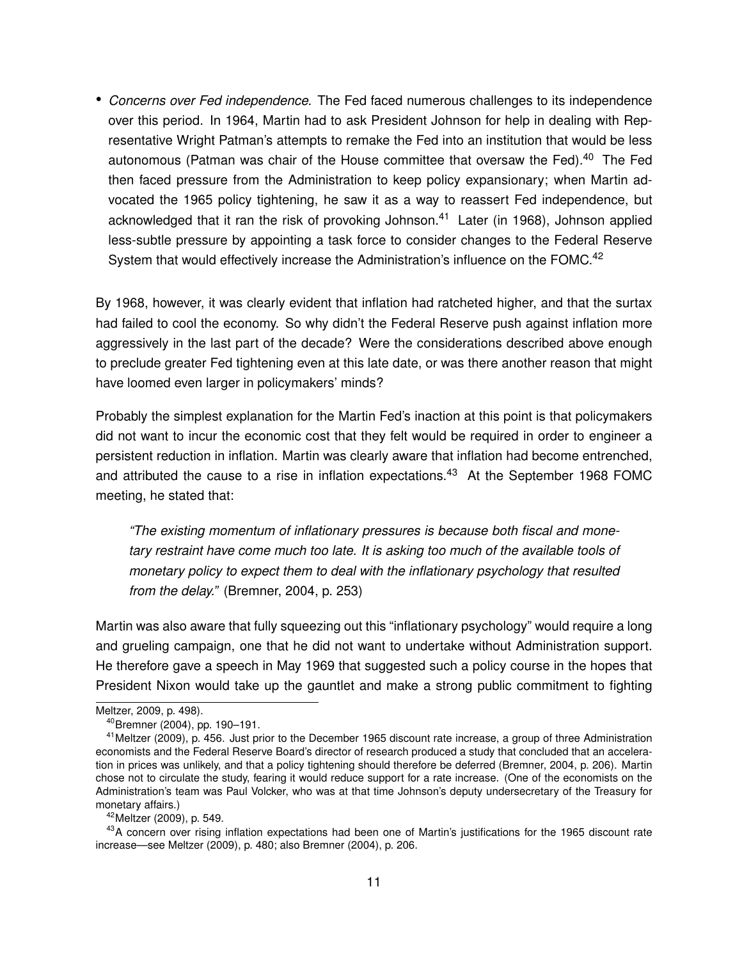• *Concerns over Fed independence.* The Fed faced numerous challenges to its independence over this period. In 1964, Martin had to ask President Johnson for help in dealing with Representative Wright Patman's attempts to remake the Fed into an institution that would be less autonomous (Patman was chair of the House committee that oversaw the Fed).<sup>40</sup> The Fed then faced pressure from the Administration to keep policy expansionary; when Martin advocated the 1965 policy tightening, he saw it as a way to reassert Fed independence, but acknowledged that it ran the risk of provoking Johnson.<sup>41</sup> Later (in 1968), Johnson applied less-subtle pressure by appointing a task force to consider changes to the Federal Reserve System that would effectively increase the Administration's influence on the FOMC.<sup>42</sup>

By 1968, however, it was clearly evident that inflation had ratcheted higher, and that the surtax had failed to cool the economy. So why didn't the Federal Reserve push against inflation more aggressively in the last part of the decade? Were the considerations described above enough to preclude greater Fed tightening even at this late date, or was there another reason that might have loomed even larger in policymakers' minds?

Probably the simplest explanation for the Martin Fed's inaction at this point is that policymakers did not want to incur the economic cost that they felt would be required in order to engineer a persistent reduction in inflation. Martin was clearly aware that inflation had become entrenched, and attributed the cause to a rise in inflation expectations.<sup>43</sup> At the September 1968 FOMC meeting, he stated that:

*"The existing momentum of inflationary pressures is because both fiscal and monetary restraint have come much too late. It is asking too much of the available tools of monetary policy to expect them to deal with the inflationary psychology that resulted from the delay."* (Bremner, 2004, p. 253)

Martin was also aware that fully squeezing out this "inflationary psychology" would require a long and grueling campaign, one that he did not want to undertake without Administration support. He therefore gave a speech in May 1969 that suggested such a policy course in the hopes that President Nixon would take up the gauntlet and make a strong public commitment to fighting

Meltzer, 2009, p. 498).

<sup>40</sup>Bremner (2004), pp. 190–191.

<sup>&</sup>lt;sup>41</sup> Meltzer (2009), p. 456. Just prior to the December 1965 discount rate increase, a group of three Administration economists and the Federal Reserve Board's director of research produced a study that concluded that an acceleration in prices was unlikely, and that a policy tightening should therefore be deferred (Bremner, 2004, p. 206). Martin chose not to circulate the study, fearing it would reduce support for a rate increase. (One of the economists on the Administration's team was Paul Volcker, who was at that time Johnson's deputy undersecretary of the Treasury for monetary affairs.)

<sup>42</sup>Meltzer (2009), p. 549.

<sup>&</sup>lt;sup>43</sup>A concern over rising inflation expectations had been one of Martin's justifications for the 1965 discount rate increase—see Meltzer (2009), p. 480; also Bremner (2004), p. 206.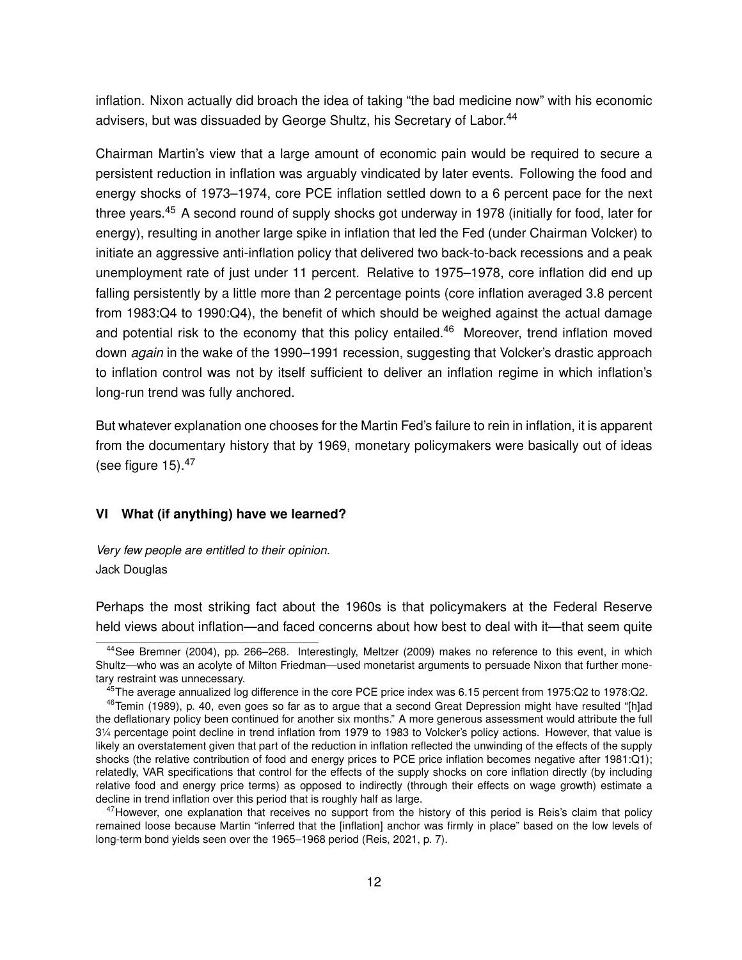inflation. Nixon actually did broach the idea of taking "the bad medicine now" with his economic advisers, but was dissuaded by George Shultz, his Secretary of Labor.<sup>44</sup>

Chairman Martin's view that a large amount of economic pain would be required to secure a persistent reduction in inflation was arguably vindicated by later events. Following the food and energy shocks of 1973–1974, core PCE inflation settled down to a 6 percent pace for the next three vears.<sup>45</sup> A second round of supply shocks got underway in 1978 (initially for food, later for energy), resulting in another large spike in inflation that led the Fed (under Chairman Volcker) to initiate an aggressive anti-inflation policy that delivered two back-to-back recessions and a peak unemployment rate of just under 11 percent. Relative to 1975–1978, core inflation did end up falling persistently by a little more than 2 percentage points (core inflation averaged 3.8 percent from 1983:Q4 to 1990:Q4), the benefit of which should be weighed against the actual damage and potential risk to the economy that this policy entailed.<sup>46</sup> Moreover, trend inflation moved down *again* in the wake of the 1990–1991 recession, suggesting that Volcker's drastic approach to inflation control was not by itself sufficient to deliver an inflation regime in which inflation's long-run trend was fully anchored.

But whatever explanation one chooses for the Martin Fed's failure to rein in inflation, it is apparent from the documentary history that by 1969, monetary policymakers were basically out of ideas (see figure  $15$ ). $47$ 

#### **VI What (if anything) have we learned?**

*Very few people are entitled to their opinion.* Jack Douglas

Perhaps the most striking fact about the 1960s is that policymakers at the Federal Reserve held views about inflation—and faced concerns about how best to deal with it—that seem quite

<sup>44</sup>See Bremner (2004), pp. 266–268. Interestingly, Meltzer (2009) makes no reference to this event, in which Shultz—who was an acolyte of Milton Friedman—used monetarist arguments to persuade Nixon that further monetary restraint was unnecessary.

<sup>45</sup>The average annualized log difference in the core PCE price index was 6.15 percent from 1975:Q2 to 1978:Q2.

<sup>&</sup>lt;sup>46</sup>Temin (1989), p. 40, even goes so far as to argue that a second Great Depression might have resulted "[h]ad the deflationary policy been continued for another six months." A more generous assessment would attribute the full 31 ⁄<sup>4</sup> percentage point decline in trend inflation from 1979 to 1983 to Volcker's policy actions. However, that value is likely an overstatement given that part of the reduction in inflation reflected the unwinding of the effects of the supply shocks (the relative contribution of food and energy prices to PCE price inflation becomes negative after 1981:Q1); relatedly, VAR specifications that control for the effects of the supply shocks on core inflation directly (by including relative food and energy price terms) as opposed to indirectly (through their effects on wage growth) estimate a decline in trend inflation over this period that is roughly half as large.

 $47$ However, one explanation that receives no support from the history of this period is Reis's claim that policy remained loose because Martin "inferred that the [inflation] anchor was firmly in place" based on the low levels of long-term bond yields seen over the 1965–1968 period (Reis, 2021, p. 7).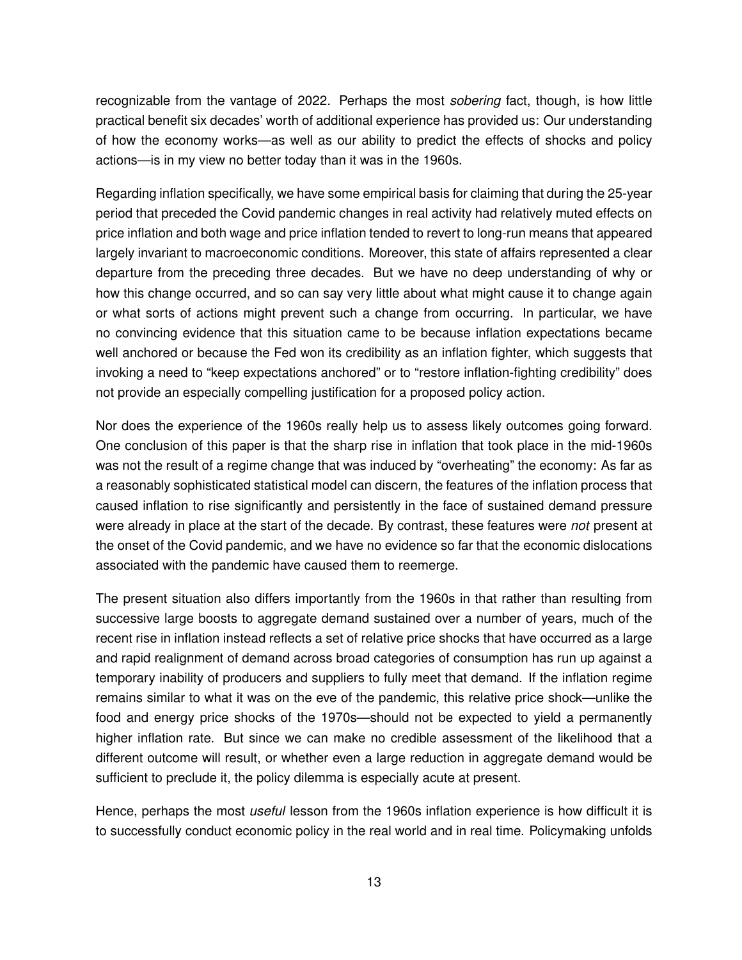recognizable from the vantage of 2022. Perhaps the most *sobering* fact, though, is how little practical benefit six decades' worth of additional experience has provided us: Our understanding of how the economy works—as well as our ability to predict the effects of shocks and policy actions—is in my view no better today than it was in the 1960s.

Regarding inflation specifically, we have some empirical basis for claiming that during the 25-year period that preceded the Covid pandemic changes in real activity had relatively muted effects on price inflation and both wage and price inflation tended to revert to long-run means that appeared largely invariant to macroeconomic conditions. Moreover, this state of affairs represented a clear departure from the preceding three decades. But we have no deep understanding of why or how this change occurred, and so can say very little about what might cause it to change again or what sorts of actions might prevent such a change from occurring. In particular, we have no convincing evidence that this situation came to be because inflation expectations became well anchored or because the Fed won its credibility as an inflation fighter, which suggests that invoking a need to "keep expectations anchored" or to "restore inflation-fighting credibility" does not provide an especially compelling justification for a proposed policy action.

Nor does the experience of the 1960s really help us to assess likely outcomes going forward. One conclusion of this paper is that the sharp rise in inflation that took place in the mid-1960s was not the result of a regime change that was induced by "overheating" the economy: As far as a reasonably sophisticated statistical model can discern, the features of the inflation process that caused inflation to rise significantly and persistently in the face of sustained demand pressure were already in place at the start of the decade. By contrast, these features were *not* present at the onset of the Covid pandemic, and we have no evidence so far that the economic dislocations associated with the pandemic have caused them to reemerge.

The present situation also differs importantly from the 1960s in that rather than resulting from successive large boosts to aggregate demand sustained over a number of years, much of the recent rise in inflation instead reflects a set of relative price shocks that have occurred as a large and rapid realignment of demand across broad categories of consumption has run up against a temporary inability of producers and suppliers to fully meet that demand. If the inflation regime remains similar to what it was on the eve of the pandemic, this relative price shock—unlike the food and energy price shocks of the 1970s—should not be expected to yield a permanently higher inflation rate. But since we can make no credible assessment of the likelihood that a different outcome will result, or whether even a large reduction in aggregate demand would be sufficient to preclude it, the policy dilemma is especially acute at present.

Hence, perhaps the most *useful* lesson from the 1960s inflation experience is how difficult it is to successfully conduct economic policy in the real world and in real time. Policymaking unfolds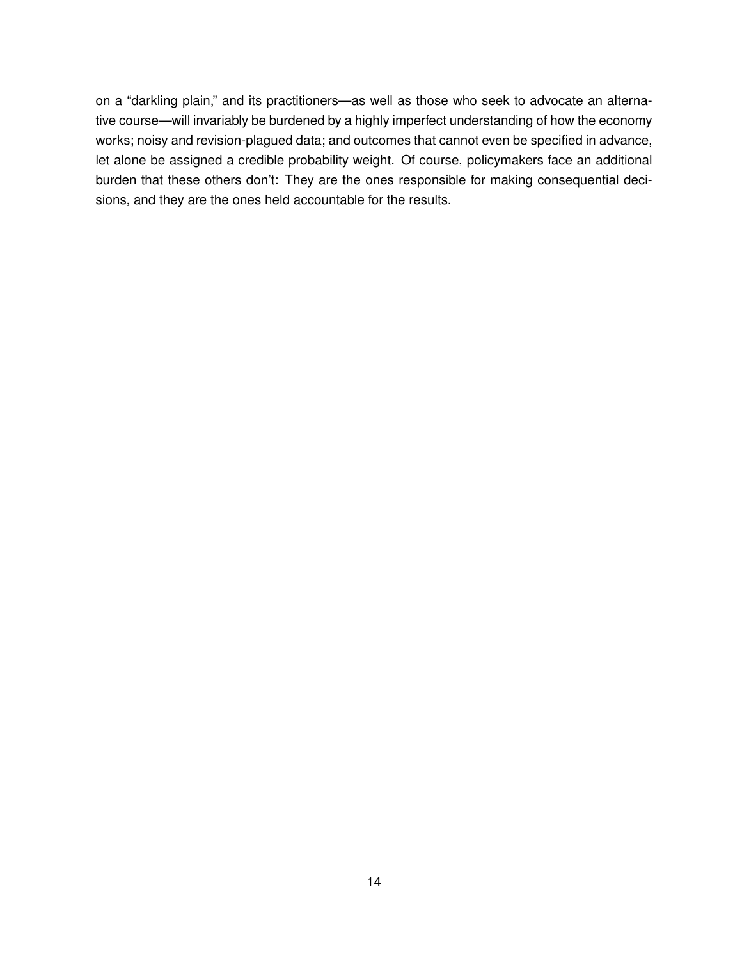on a "darkling plain," and its practitioners—as well as those who seek to advocate an alternative course—will invariably be burdened by a highly imperfect understanding of how the economy works; noisy and revision-plagued data; and outcomes that cannot even be specified in advance, let alone be assigned a credible probability weight. Of course, policymakers face an additional burden that these others don't: They are the ones responsible for making consequential decisions, and they are the ones held accountable for the results.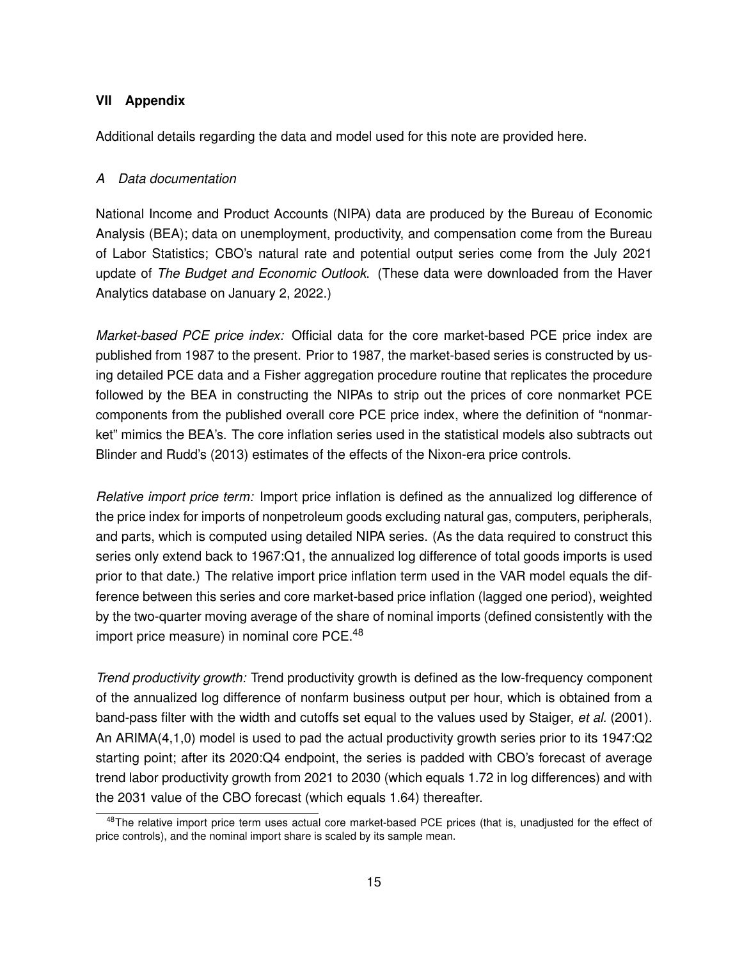#### **VII Appendix**

Additional details regarding the data and model used for this note are provided here.

#### *A Data documentation*

National Income and Product Accounts (NIPA) data are produced by the Bureau of Economic Analysis (BEA); data on unemployment, productivity, and compensation come from the Bureau of Labor Statistics; CBO's natural rate and potential output series come from the July 2021 update of *The Budget and Economic Outlook*. (These data were downloaded from the Haver Analytics database on January 2, 2022.)

*Market-based PCE price index:* Official data for the core market-based PCE price index are published from 1987 to the present. Prior to 1987, the market-based series is constructed by using detailed PCE data and a Fisher aggregation procedure routine that replicates the procedure followed by the BEA in constructing the NIPAs to strip out the prices of core nonmarket PCE components from the published overall core PCE price index, where the definition of "nonmarket" mimics the BEA's. The core inflation series used in the statistical models also subtracts out Blinder and Rudd's (2013) estimates of the effects of the Nixon-era price controls.

*Relative import price term:* Import price inflation is defined as the annualized log difference of the price index for imports of nonpetroleum goods excluding natural gas, computers, peripherals, and parts, which is computed using detailed NIPA series. (As the data required to construct this series only extend back to 1967:Q1, the annualized log difference of total goods imports is used prior to that date.) The relative import price inflation term used in the VAR model equals the difference between this series and core market-based price inflation (lagged one period), weighted by the two-quarter moving average of the share of nominal imports (defined consistently with the import price measure) in nominal core PCE.<sup>48</sup>

*Trend productivity growth:* Trend productivity growth is defined as the low-frequency component of the annualized log difference of nonfarm business output per hour, which is obtained from a band-pass filter with the width and cutoffs set equal to the values used by Staiger, *et al.* (2001). An ARIMA(4,1,0) model is used to pad the actual productivity growth series prior to its 1947:Q2 starting point; after its 2020:Q4 endpoint, the series is padded with CBO's forecast of average trend labor productivity growth from 2021 to 2030 (which equals 1.72 in log differences) and with the 2031 value of the CBO forecast (which equals 1.64) thereafter.

<sup>&</sup>lt;sup>48</sup>The relative import price term uses actual core market-based PCE prices (that is, unadjusted for the effect of price controls), and the nominal import share is scaled by its sample mean.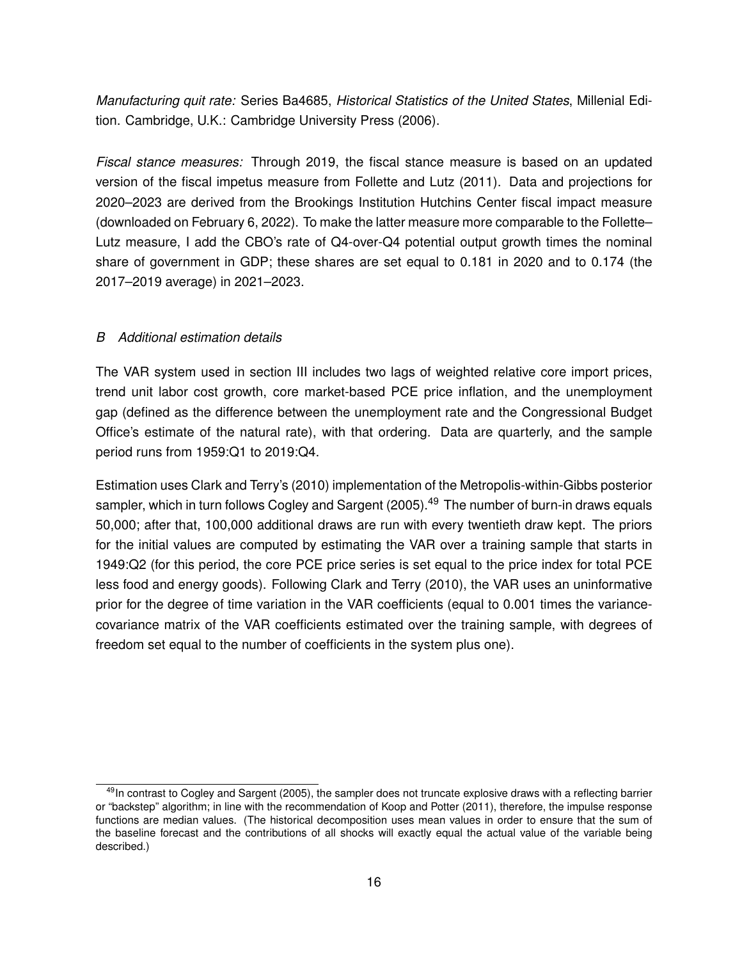*Manufacturing quit rate:* Series Ba4685, *Historical Statistics of the United States*, Millenial Edition. Cambridge, U.K.: Cambridge University Press (2006).

*Fiscal stance measures:* Through 2019, the fiscal stance measure is based on an updated version of the fiscal impetus measure from Follette and Lutz (2011). Data and projections for 2020–2023 are derived from the Brookings Institution Hutchins Center fiscal impact measure (downloaded on February 6, 2022). To make the latter measure more comparable to the Follette– Lutz measure, I add the CBO's rate of Q4-over-Q4 potential output growth times the nominal share of government in GDP; these shares are set equal to 0.181 in 2020 and to 0.174 (the 2017–2019 average) in 2021–2023.

### *B Additional estimation details*

The VAR system used in section III includes two lags of weighted relative core import prices, trend unit labor cost growth, core market-based PCE price inflation, and the unemployment gap (defined as the difference between the unemployment rate and the Congressional Budget Office's estimate of the natural rate), with that ordering. Data are quarterly, and the sample period runs from 1959:Q1 to 2019:Q4.

Estimation uses Clark and Terry's (2010) implementation of the Metropolis-within-Gibbs posterior sampler, which in turn follows Cogley and Sargent (2005).<sup>49</sup> The number of burn-in draws equals 50,000; after that, 100,000 additional draws are run with every twentieth draw kept. The priors for the initial values are computed by estimating the VAR over a training sample that starts in 1949:Q2 (for this period, the core PCE price series is set equal to the price index for total PCE less food and energy goods). Following Clark and Terry (2010), the VAR uses an uninformative prior for the degree of time variation in the VAR coefficients (equal to 0.001 times the variancecovariance matrix of the VAR coefficients estimated over the training sample, with degrees of freedom set equal to the number of coefficients in the system plus one).

 $49$ In contrast to Cogley and Sargent (2005), the sampler does not truncate explosive draws with a reflecting barrier or "backstep" algorithm; in line with the recommendation of Koop and Potter (2011), therefore, the impulse response functions are median values. (The historical decomposition uses mean values in order to ensure that the sum of the baseline forecast and the contributions of all shocks will exactly equal the actual value of the variable being described.)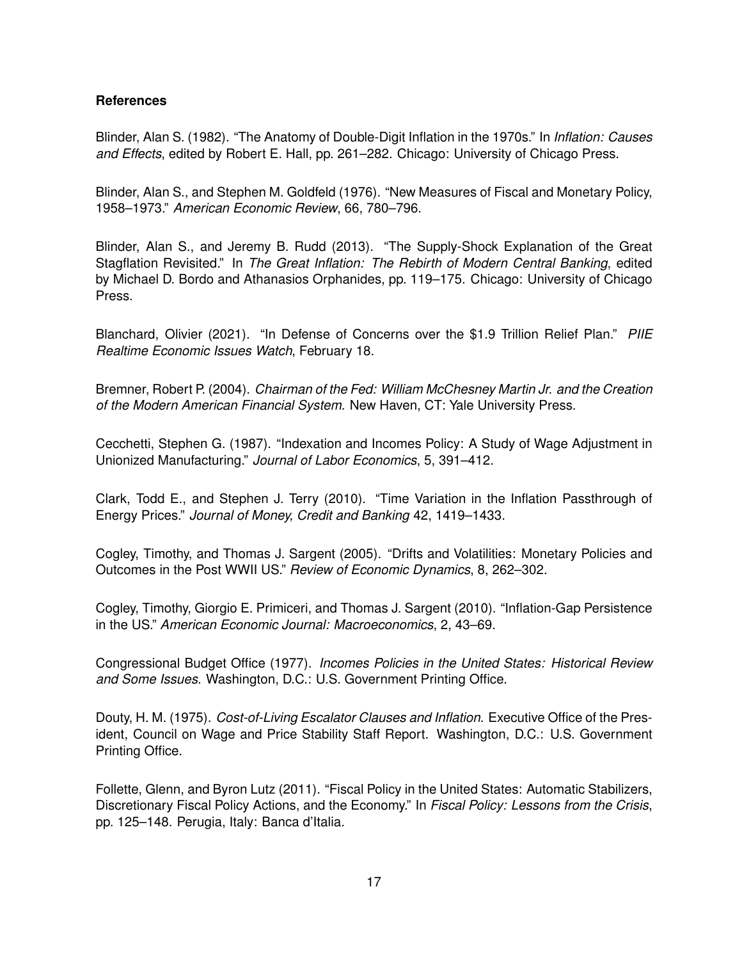### **References**

Blinder, Alan S. (1982). "The Anatomy of Double-Digit Inflation in the 1970s." In *Inflation: Causes and Effects*, edited by Robert E. Hall, pp. 261–282. Chicago: University of Chicago Press.

Blinder, Alan S., and Stephen M. Goldfeld (1976). "New Measures of Fiscal and Monetary Policy, 1958–1973." *American Economic Review*, 66, 780–796.

Blinder, Alan S., and Jeremy B. Rudd (2013). "The Supply-Shock Explanation of the Great Stagflation Revisited." In *The Great Inflation: The Rebirth of Modern Central Banking*, edited by Michael D. Bordo and Athanasios Orphanides, pp. 119–175. Chicago: University of Chicago Press.

Blanchard, Olivier (2021). "In Defense of Concerns over the \$1.9 Trillion Relief Plan." *PIIE Realtime Economic Issues Watch*, February 18.

Bremner, Robert P. (2004). *Chairman of the Fed: William McChesney Martin Jr. and the Creation of the Modern American Financial System*. New Haven, CT: Yale University Press.

Cecchetti, Stephen G. (1987). "Indexation and Incomes Policy: A Study of Wage Adjustment in Unionized Manufacturing." *Journal of Labor Economics*, 5, 391–412.

Clark, Todd E., and Stephen J. Terry (2010). "Time Variation in the Inflation Passthrough of Energy Prices." *Journal of Money, Credit and Banking* 42, 1419–1433.

Cogley, Timothy, and Thomas J. Sargent (2005). "Drifts and Volatilities: Monetary Policies and Outcomes in the Post WWII US." *Review of Economic Dynamics*, 8, 262–302.

Cogley, Timothy, Giorgio E. Primiceri, and Thomas J. Sargent (2010). "Inflation-Gap Persistence in the US." *American Economic Journal: Macroeconomics*, 2, 43–69.

Congressional Budget Office (1977). *Incomes Policies in the United States: Historical Review and Some Issues*. Washington, D.C.: U.S. Government Printing Office.

Douty, H. M. (1975). *Cost-of-Living Escalator Clauses and Inflation*. Executive Office of the President, Council on Wage and Price Stability Staff Report. Washington, D.C.: U.S. Government Printing Office.

Follette, Glenn, and Byron Lutz (2011). "Fiscal Policy in the United States: Automatic Stabilizers, Discretionary Fiscal Policy Actions, and the Economy." In *Fiscal Policy: Lessons from the Crisis*, pp. 125–148. Perugia, Italy: Banca d'Italia.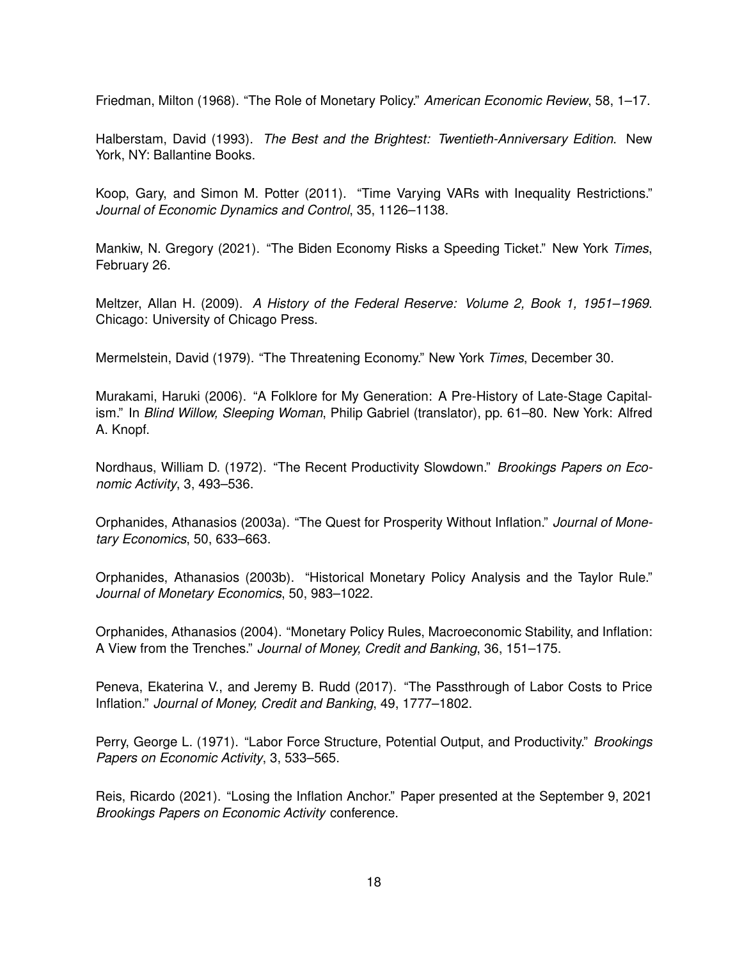Friedman, Milton (1968). "The Role of Monetary Policy." *American Economic Review*, 58, 1–17.

Halberstam, David (1993). *The Best and the Brightest: Twentieth-Anniversary Edition*. New York, NY: Ballantine Books.

Koop, Gary, and Simon M. Potter (2011). "Time Varying VARs with Inequality Restrictions." *Journal of Economic Dynamics and Control*, 35, 1126–1138.

Mankiw, N. Gregory (2021). "The Biden Economy Risks a Speeding Ticket." New York *Times*, February 26.

Meltzer, Allan H. (2009). *A History of the Federal Reserve: Volume 2, Book 1, 1951–1969*. Chicago: University of Chicago Press.

Mermelstein, David (1979). "The Threatening Economy." New York *Times*, December 30.

Murakami, Haruki (2006). "A Folklore for My Generation: A Pre-History of Late-Stage Capitalism." In *Blind Willow, Sleeping Woman*, Philip Gabriel (translator), pp. 61–80. New York: Alfred A. Knopf.

Nordhaus, William D. (1972). "The Recent Productivity Slowdown." *Brookings Papers on Economic Activity*, 3, 493–536.

Orphanides, Athanasios (2003a). "The Quest for Prosperity Without Inflation." *Journal of Monetary Economics*, 50, 633–663.

Orphanides, Athanasios (2003b). "Historical Monetary Policy Analysis and the Taylor Rule." *Journal of Monetary Economics*, 50, 983–1022.

Orphanides, Athanasios (2004). "Monetary Policy Rules, Macroeconomic Stability, and Inflation: A View from the Trenches." *Journal of Money, Credit and Banking*, 36, 151–175.

Peneva, Ekaterina V., and Jeremy B. Rudd (2017). "The Passthrough of Labor Costs to Price Inflation." *Journal of Money, Credit and Banking*, 49, 1777–1802.

Perry, George L. (1971). "Labor Force Structure, Potential Output, and Productivity." *Brookings Papers on Economic Activity*, 3, 533–565.

Reis, Ricardo (2021). "Losing the Inflation Anchor." Paper presented at the September 9, 2021 *Brookings Papers on Economic Activity* conference.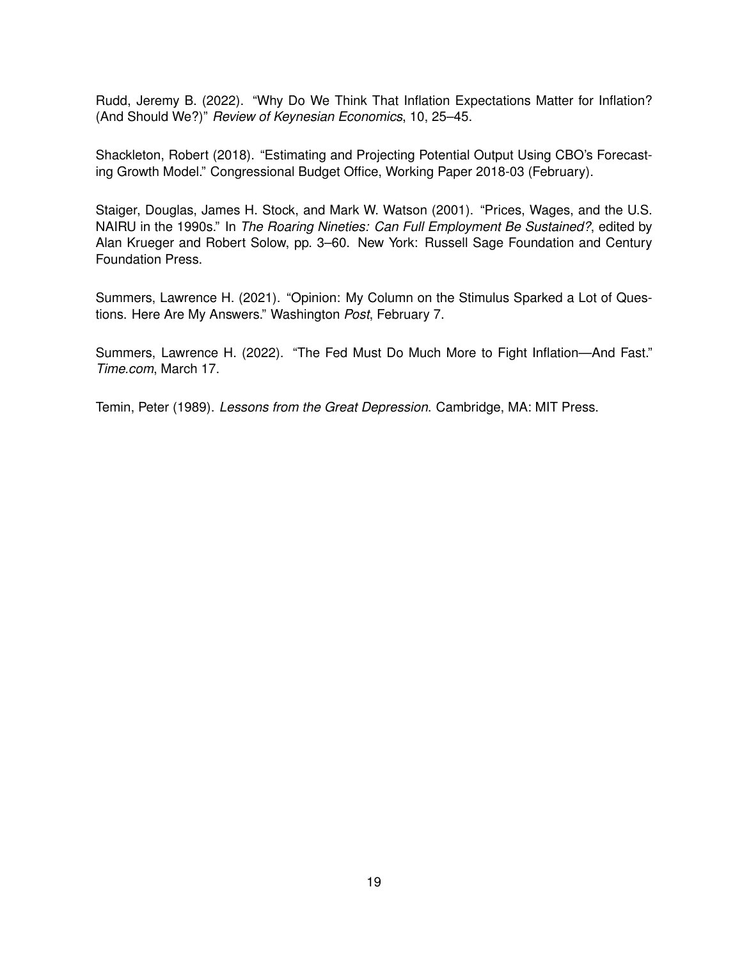Rudd, Jeremy B. (2022). "Why Do We Think That Inflation Expectations Matter for Inflation? (And Should We?)" *Review of Keynesian Economics*, 10, 25–45.

Shackleton, Robert (2018). "Estimating and Projecting Potential Output Using CBO's Forecasting Growth Model." Congressional Budget Office, Working Paper 2018-03 (February).

Staiger, Douglas, James H. Stock, and Mark W. Watson (2001). "Prices, Wages, and the U.S. NAIRU in the 1990s." In *The Roaring Nineties: Can Full Employment Be Sustained?*, edited by Alan Krueger and Robert Solow, pp. 3–60. New York: Russell Sage Foundation and Century Foundation Press.

Summers, Lawrence H. (2021). "Opinion: My Column on the Stimulus Sparked a Lot of Questions. Here Are My Answers." Washington *Post*, February 7.

Summers, Lawrence H. (2022). "The Fed Must Do Much More to Fight Inflation—And Fast." *Time.com*, March 17.

Temin, Peter (1989). *Lessons from the Great Depression*. Cambridge, MA: MIT Press.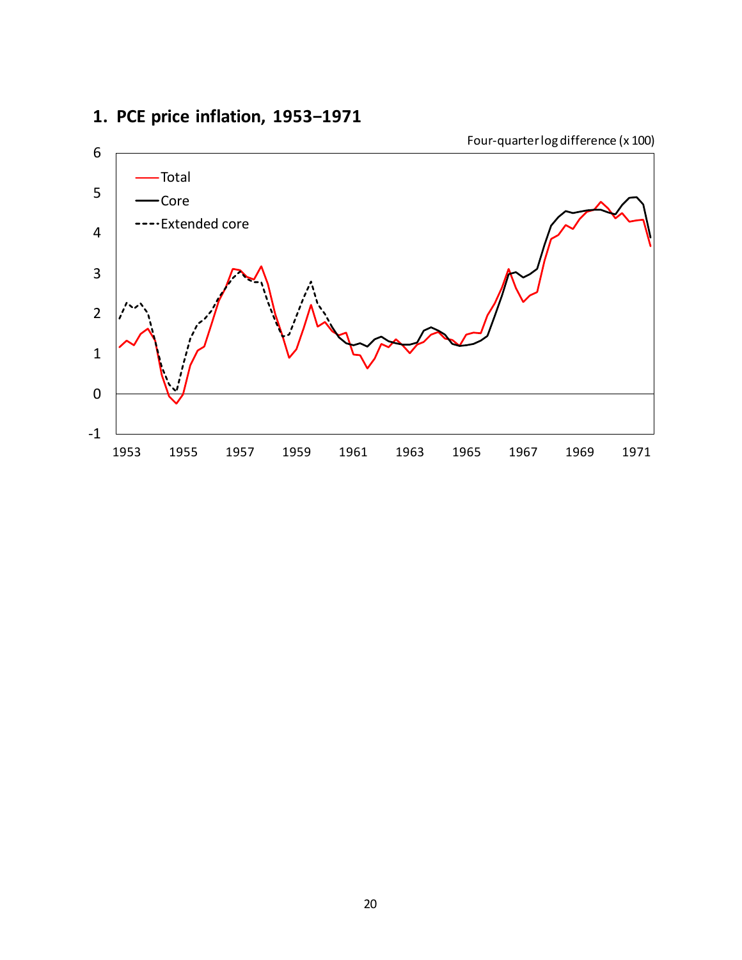

## **1. PCE price inflation, 1953−1971**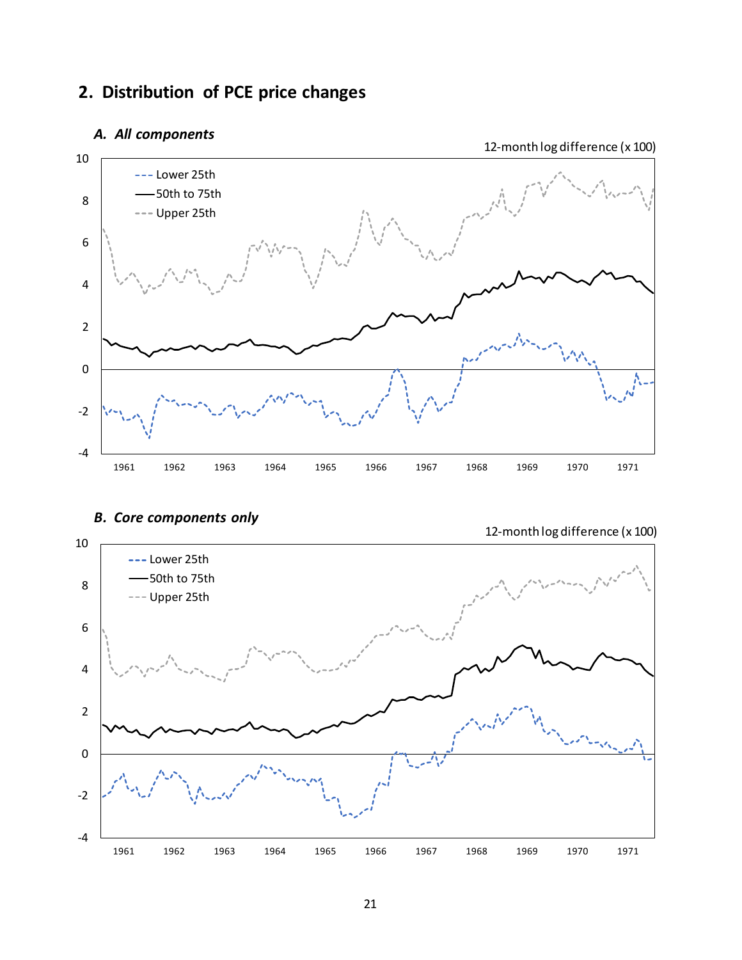## **2. Distribution of PCE price changes**

### *A. All components*



### *B. Core components only*

12-month log difference (x 100)

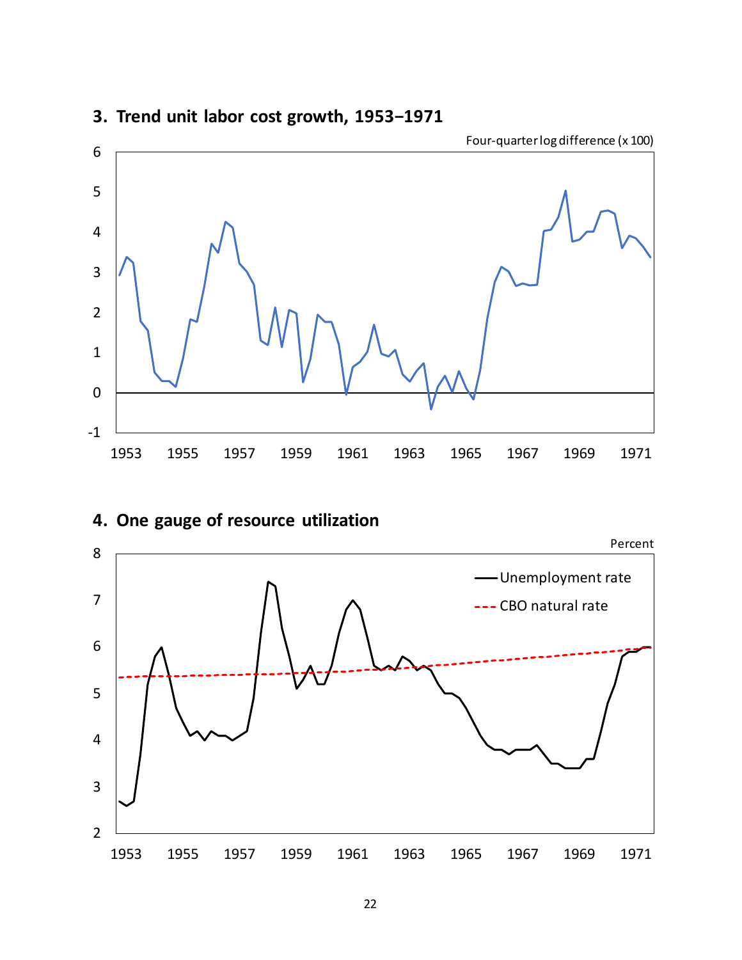

## **3. Trend unit labor cost growth, 1953−1971**

# **4. One gauge of resource utilization**

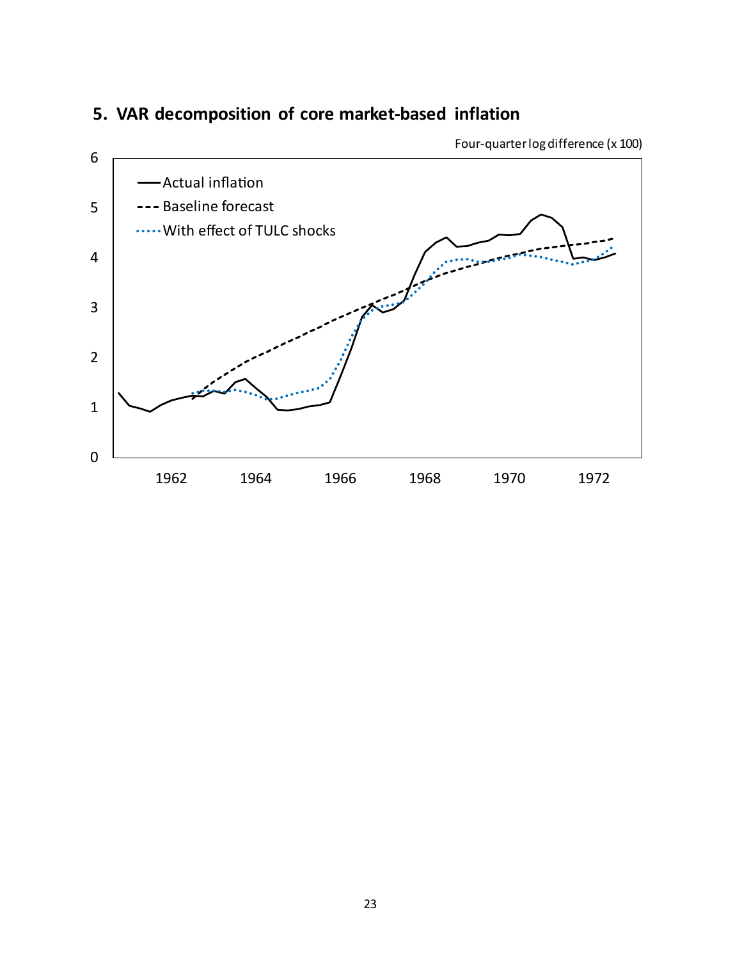

## **5. VAR decomposition of core market-based inflation**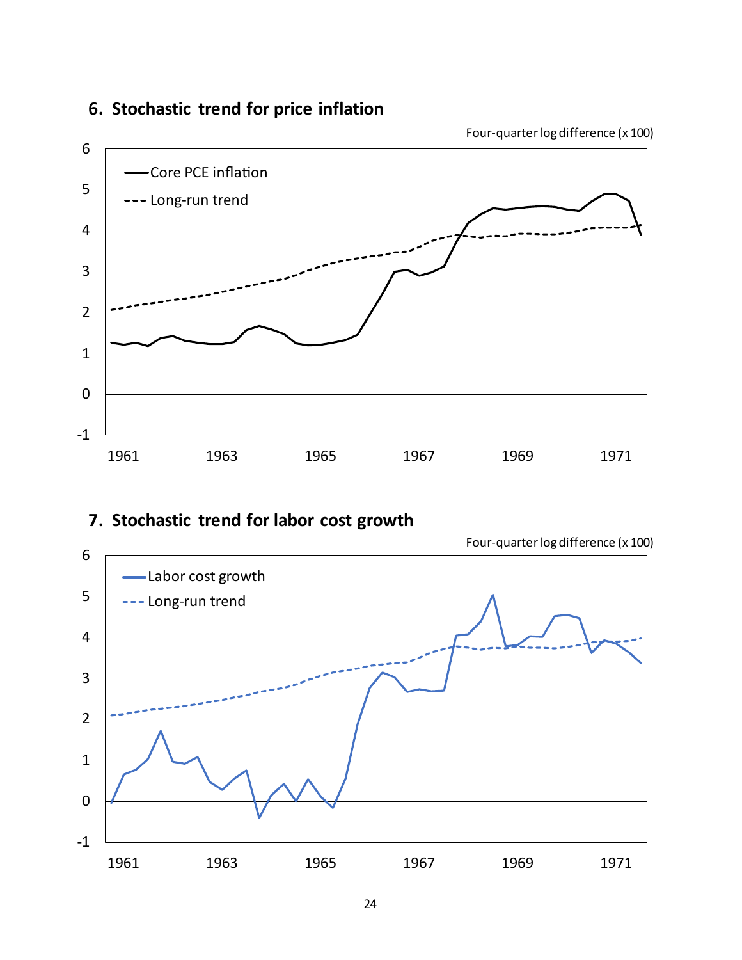

## **6. Stochastic trend for price inflation**

## **7. Stochastic trend for labor cost growth**



Four-quarter log difference (x 100)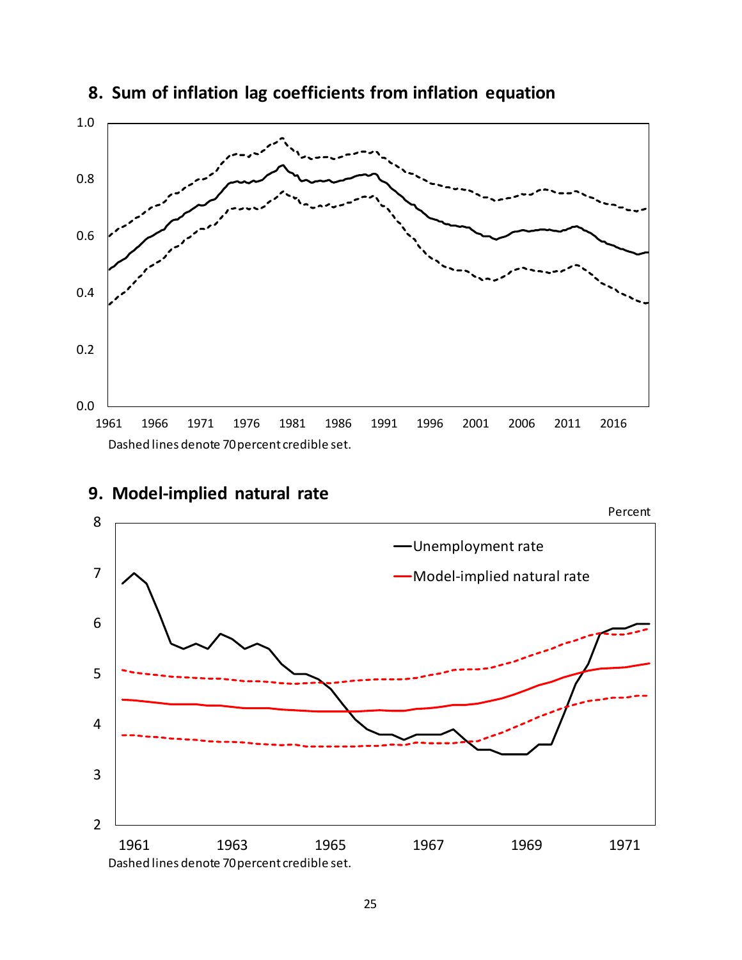

## **8. Sum of inflation lag coefficients from inflation equation**



## **9. Model-implied natural rate**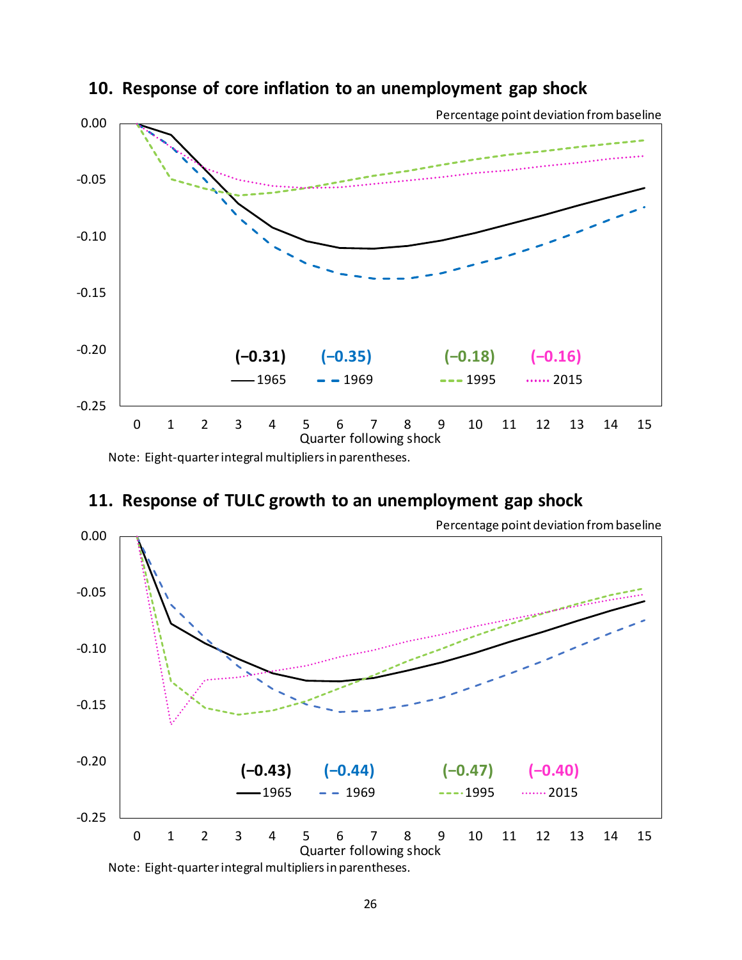

### **10. Response of core inflation to an unemployment gap shock**

Note: Eight-quarter integral multipliers in parentheses.

## **11. Response of TULC growth to an unemployment gap shock**



Note: Eight-quarter integral multipliers in parentheses.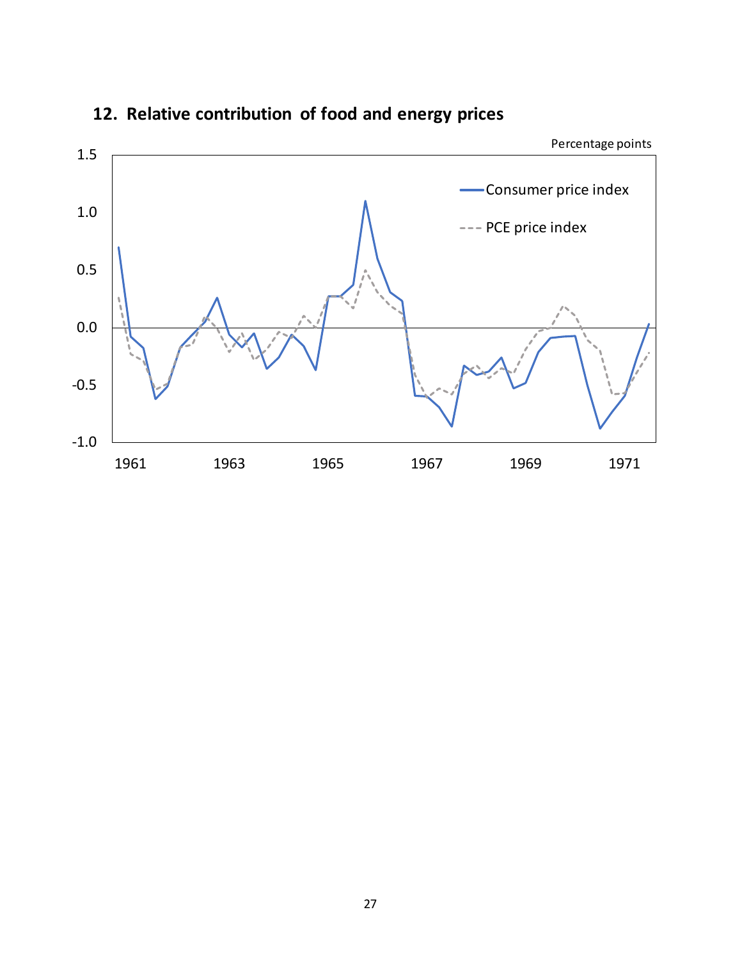

## **12. Relative contribution of food and energy prices**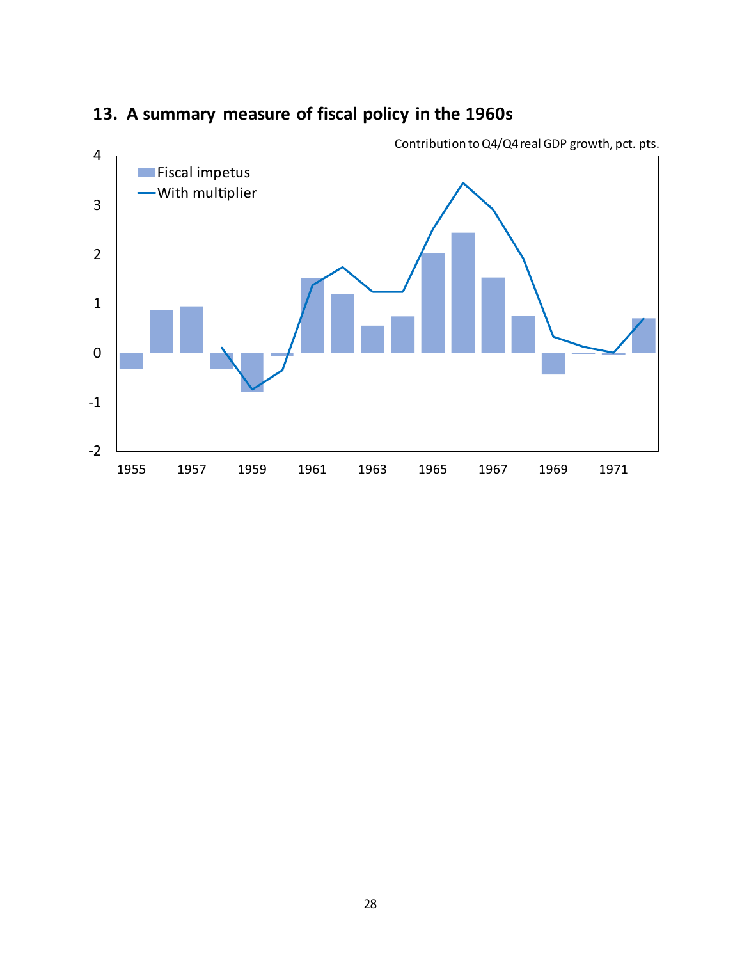

## **13. A summary measure of fiscal policy in the 1960s**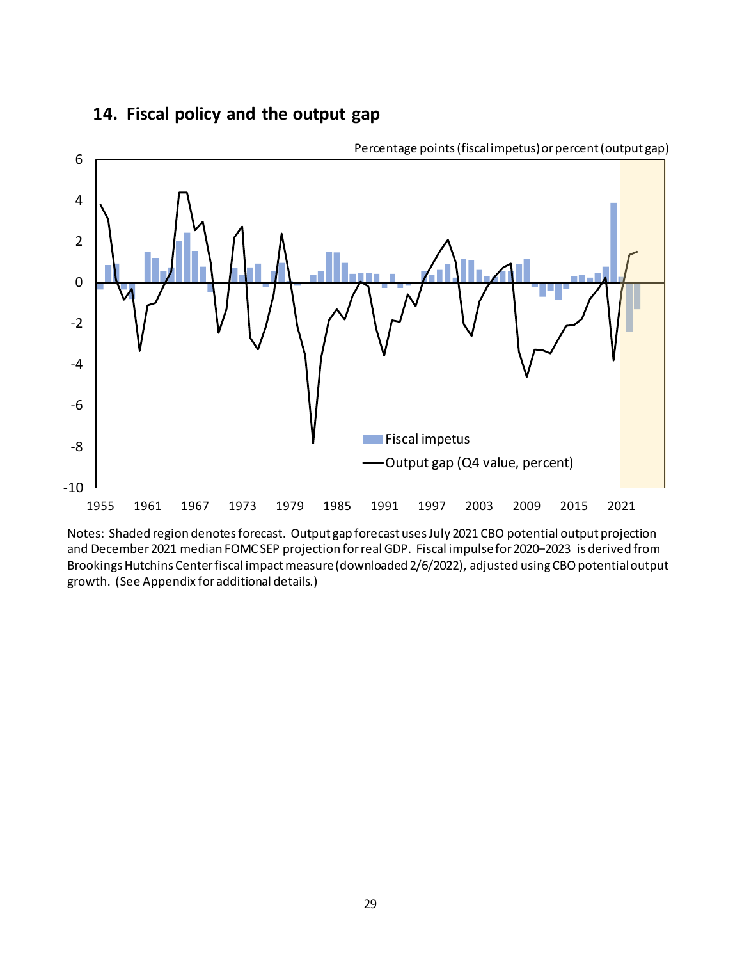### **14. Fiscal policy and the output gap**



Notes: Shaded region denotes forecast. Output gap forecast uses July 2021 CBO potential output projection and December 2021 median FOMC SEP projection for real GDP. Fiscal impulse for 2020−2023 is derived from Brookings Hutchins Center fiscal impact measure (downloaded 2/6/2022), adjusted using CBO potential output growth. (See Appendix for additional details.)